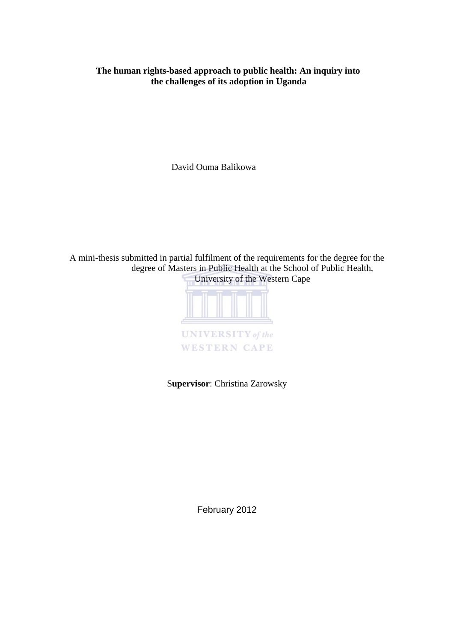# **The human rights-based approach to public health: An inquiry into the challenges of its adoption in Uganda**

David Ouma Balikowa

A mini-thesis submitted in partial fulfilment of the requirements for the degree for the degree of Masters in Public Health at the School of Public Health, University of the Western Cape



S**upervisor**: Christina Zarowsky

February 2012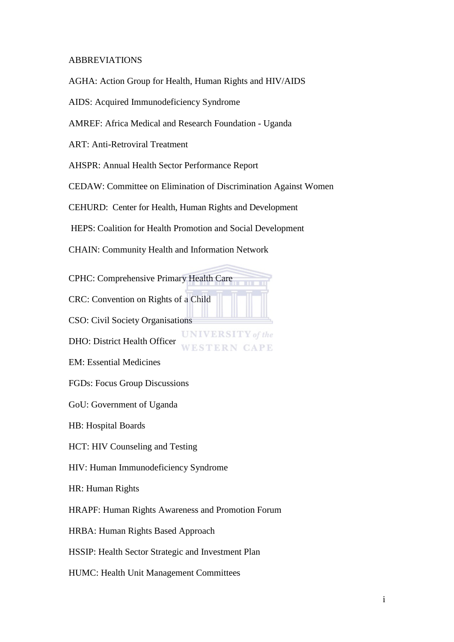## ABBREVIATIONS

AGHA: Action Group for Health, Human Rights and HIV/AIDS

AIDS: Acquired Immunodeficiency Syndrome

AMREF: Africa Medical and Research Foundation - Uganda

ART: Anti-Retroviral Treatment

AHSPR: Annual Health Sector Performance Report

CEDAW: Committee on Elimination of Discrimination Against Women

**UNIVERSITY** of the

CAPE

CEHURD: Center for Health, Human Rights and Development

HEPS: Coalition for Health Promotion and Social Development

CHAIN: Community Health and Information Network

CPHC: Comprehensive Primary Health Care

CRC: Convention on Rights of a Child

CSO: Civil Society Organisations

DHO: District Health Officer

EM: Essential Medicines

FGDs: Focus Group Discussions

GoU: Government of Uganda

HB: Hospital Boards

HCT: HIV Counseling and Testing

HIV: Human Immunodeficiency Syndrome

HR: Human Rights

HRAPF: Human Rights Awareness and Promotion Forum

HRBA: Human Rights Based Approach

HSSIP: Health Sector Strategic and Investment Plan

HUMC: Health Unit Management Committees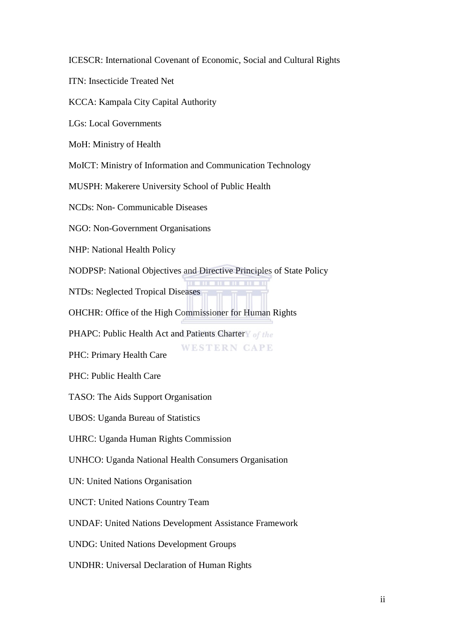ICESCR: International Covenant of Economic, Social and Cultural Rights

ITN: Insecticide Treated Net

KCCA: Kampala City Capital Authority

LGs: Local Governments

MoH: Ministry of Health

MoICT: Ministry of Information and Communication Technology

MUSPH: Makerere University School of Public Health

NCDs: Non- Communicable Diseases

NGO: Non-Government Organisations

NHP: National Health Policy

NODPSP: National Objectives and Directive Principles of State Policy

NTDs: Neglected Tropical Diseases

OHCHR: Office of the High Commissioner for Human Rights

PHAPC: Public Health Act and Patients Chartery of the

**WESTERN CAPE** PHC: Primary Health Care

PHC: Public Health Care

TASO: The Aids Support Organisation

UBOS: Uganda Bureau of Statistics

UHRC: Uganda Human Rights Commission

UNHCO: Uganda National Health Consumers Organisation

UN: United Nations Organisation

UNCT: United Nations Country Team

UNDAF: United Nations Development Assistance Framework

UNDG: United Nations Development Groups

UNDHR: Universal Declaration of Human Rights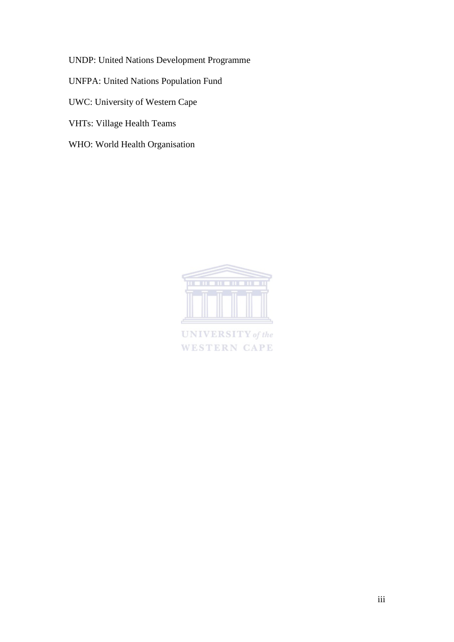UNDP: United Nations Development Programme

UNFPA: United Nations Population Fund

UWC: University of Western Cape

- VHTs: Village Health Teams
- WHO: World Health Organisation



**UNIVERSITY** of the **WESTERN CAPE**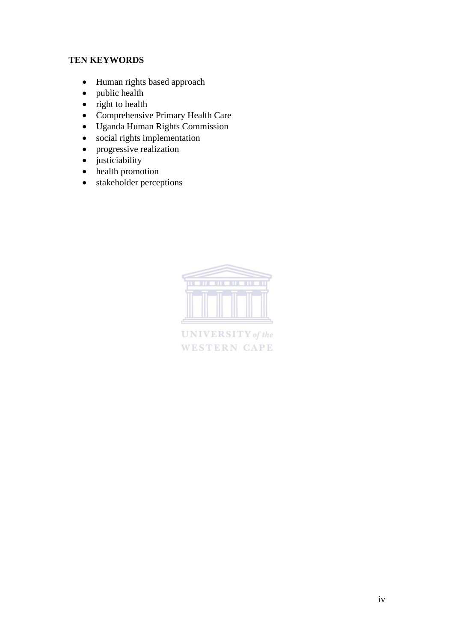# **TEN KEYWORDS**

- Human rights based approach
- public health
- $\bullet$  right to health
- Comprehensive Primary Health Care
- Uganda Human Rights Commission
- social rights implementation
- progressive realization
- justiciability
- health promotion
- stakeholder perceptions



UNIVERSITY of the **WESTERN CAPE**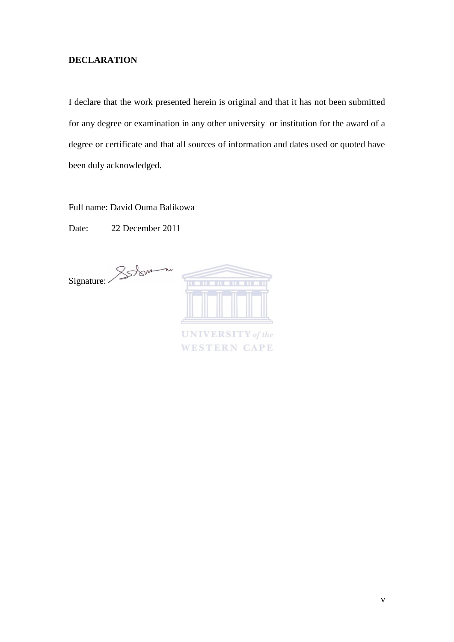# <span id="page-5-0"></span>**DECLARATION**

I declare that the work presented herein is original and that it has not been submitted for any degree or examination in any other university or institution for the award of a degree or certificate and that all sources of information and dates used or quoted have been duly acknowledged.

Full name: David Ouma Balikowa

Date: 22 December 2011

Signature: **UNIVERSITY** of the **WESTERN CAPE**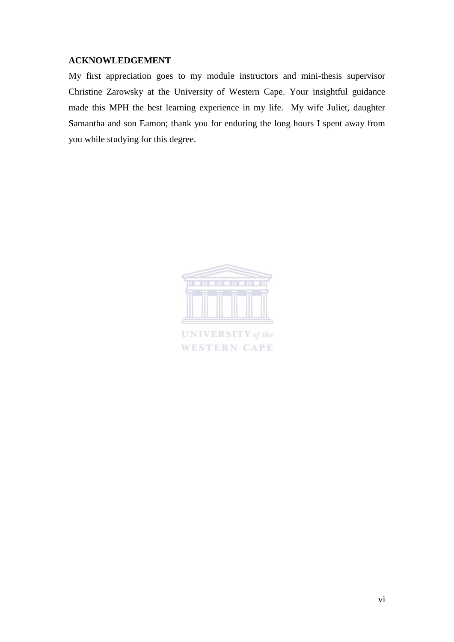# <span id="page-6-0"></span>**ACKNOWLEDGEMENT**

My first appreciation goes to my module instructors and mini-thesis supervisor Christine Zarowsky at the University of Western Cape. Your insightful guidance made this MPH the best learning experience in my life. My wife Juliet, daughter Samantha and son Eamon; thank you for enduring the long hours I spent away from you while studying for this degree.



**UNIVERSITY** of the **WESTERN CAPE**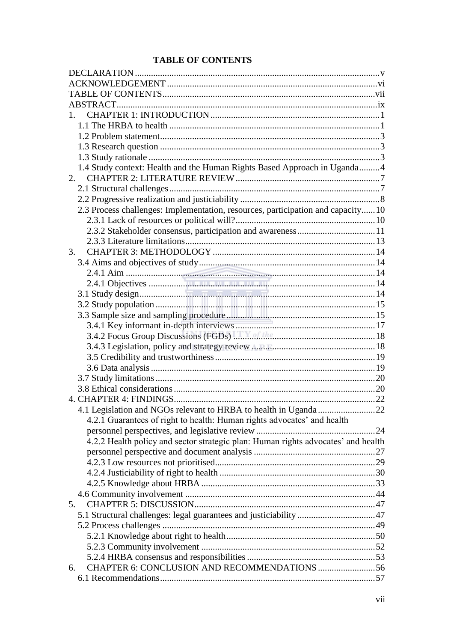# <span id="page-7-0"></span>**TABLE OF CONTENTS**

| 1.                                                                                |  |
|-----------------------------------------------------------------------------------|--|
|                                                                                   |  |
|                                                                                   |  |
|                                                                                   |  |
|                                                                                   |  |
| 1.4 Study context: Health and the Human Rights Based Approach in Uganda 4         |  |
| 2.                                                                                |  |
|                                                                                   |  |
|                                                                                   |  |
| 2.3 Process challenges: Implementation, resources, participation and capacity10   |  |
|                                                                                   |  |
|                                                                                   |  |
|                                                                                   |  |
| 3.                                                                                |  |
|                                                                                   |  |
|                                                                                   |  |
|                                                                                   |  |
|                                                                                   |  |
|                                                                                   |  |
|                                                                                   |  |
|                                                                                   |  |
|                                                                                   |  |
|                                                                                   |  |
|                                                                                   |  |
|                                                                                   |  |
|                                                                                   |  |
|                                                                                   |  |
|                                                                                   |  |
|                                                                                   |  |
| 4.2.1 Guarantees of right to health: Human rights advocates' and health           |  |
|                                                                                   |  |
| 4.2.2 Health policy and sector strategic plan: Human rights advocates' and health |  |
|                                                                                   |  |
|                                                                                   |  |
|                                                                                   |  |
|                                                                                   |  |
|                                                                                   |  |
| 5.                                                                                |  |
|                                                                                   |  |
|                                                                                   |  |
|                                                                                   |  |
|                                                                                   |  |
|                                                                                   |  |
| CHAPTER 6: CONCLUSION AND RECOMMENDATIONS 56<br>6.                                |  |
|                                                                                   |  |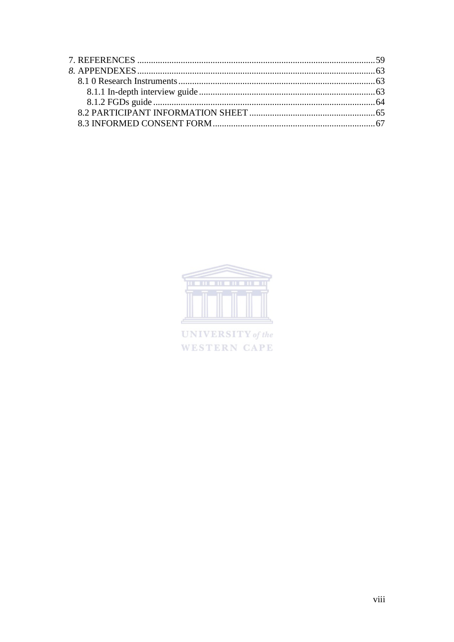

UNIVERSITY of the WESTERN CAPE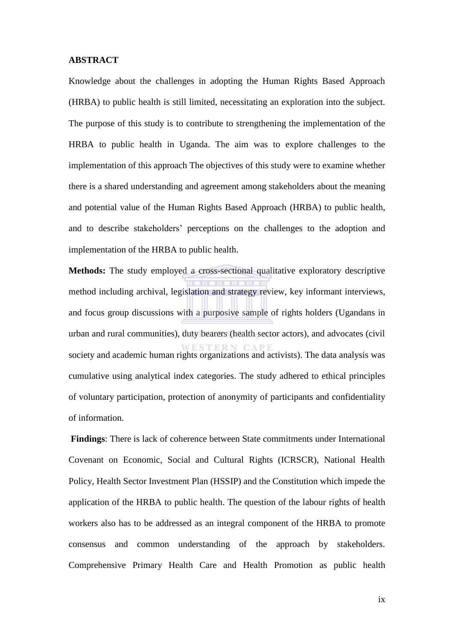#### <span id="page-9-0"></span>**ABSTRACT**

Knowledge about the challenges in adopting the Human Rights Based Approach (HRBA) to public health is still limited, necessitating an exploration into the subject. The purpose of this study is to contribute to strengthening the implementation of the HRBA to public health in Uganda. The aim was to explore challenges to the implementation of this approach The objectives of this study were to examine whether there is a shared understanding and agreement among stakeholders about the meaning and potential value of the Human Rights Based Approach (HRBA) to public health, and to describe stakeholders' perceptions on the challenges to the adoption and implementation of the HRBA to public health.

**Methods:** The study employed a cross-sectional qualitative exploratory descriptive method including archival, legislation and strategy review, key informant interviews, and focus group discussions with a purposive sample of rights holders (Ugandans in urban and rural communities), duty bearers (health sector actors), and advocates (civil society and academic human rights organizations and activists). The data analysis was cumulative using analytical index categories. The study adhered to ethical principles of voluntary participation, protection of anonymity of participants and confidentiality of information.

 **Findings**: There is lack of coherence between State commitments under International Covenant on Economic, Social and Cultural Rights (ICRSCR), National Health Policy, Health Sector Investment Plan (HSSIP) and the Constitution which impede the application of the HRBA to public health. The question of the labour rights of health workers also has to be addressed as an integral component of the HRBA to promote consensus and common understanding of the approach by stakeholders. Comprehensive Primary Health Care and Health Promotion as public health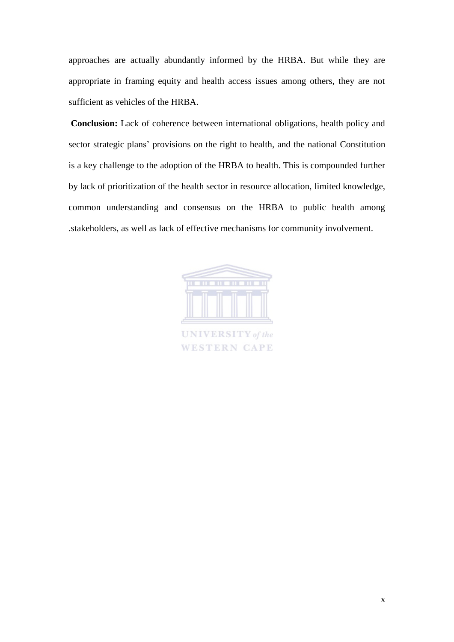approaches are actually abundantly informed by the HRBA. But while they are appropriate in framing equity and health access issues among others, they are not sufficient as vehicles of the HRBA.

**Conclusion:** Lack of coherence between international obligations, health policy and sector strategic plans' provisions on the right to health, and the national Constitution is a key challenge to the adoption of the HRBA to health. This is compounded further by lack of prioritization of the health sector in resource allocation, limited knowledge, common understanding and consensus on the HRBA to public health among .stakeholders, as well as lack of effective mechanisms for community involvement.



**UNIVERSITY** of the **WESTERN CAPE**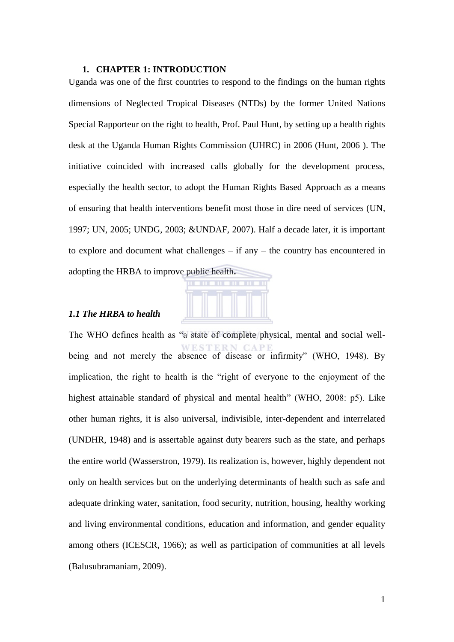#### <span id="page-11-0"></span>**1. CHAPTER 1: INTRODUCTION**

Uganda was one of the first countries to respond to the findings on the human rights dimensions of Neglected Tropical Diseases (NTDs) by the former United Nations Special Rapporteur on the right to health, Prof. Paul Hunt, by setting up a health rights desk at the Uganda Human Rights Commission (UHRC) in 2006 (Hunt, 2006 ). The initiative coincided with increased calls globally for the development process, especially the health sector, to adopt the Human Rights Based Approach as a means of ensuring that health interventions benefit most those in dire need of services (UN, 1997; UN, 2005; UNDG, 2003; &UNDAF, 2007). Half a decade later, it is important to explore and document what challenges – if any – the country has encountered in adopting the HRBA to improve public health**.** 



## <span id="page-11-1"></span>*1.1 The HRBA to health*

The WHO defines health as "a state of complete physical, mental and social wellbeing and not merely the absence of disease or infirmity" (WHO, 1948). By implication, the right to health is the "right of everyone to the enjoyment of the highest attainable standard of physical and mental health" (WHO, 2008: p5). Like other human rights, it is also universal, indivisible, inter-dependent and interrelated (UNDHR, 1948) and is assertable against duty bearers such as the state, and perhaps the entire world (Wasserstron, 1979). Its realization is, however, highly dependent not only on health services but on the underlying determinants of health such as safe and adequate drinking water, sanitation, food security, nutrition, housing, healthy working and living environmental conditions, education and information, and gender equality among others (ICESCR, 1966); as well as participation of communities at all levels (Balusubramaniam, 2009).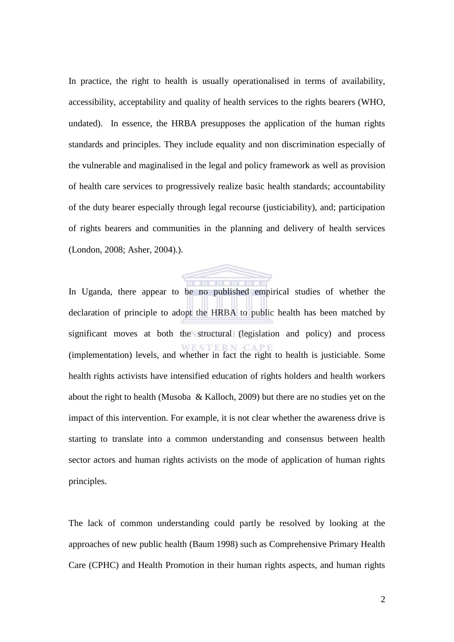In practice, the right to health is usually operationalised in terms of availability, accessibility, acceptability and quality of health services to the rights bearers (WHO, undated). In essence, the HRBA presupposes the application of the human rights standards and principles. They include equality and non discrimination especially of the vulnerable and maginalised in the legal and policy framework as well as provision of health care services to progressively realize basic health standards; accountability of the duty bearer especially through legal recourse (justiciability), and; participation of rights bearers and communities in the planning and delivery of health services (London, 2008; Asher, 2004).).

. . . . . . . . . . . . In Uganda, there appear to be no published empirical studies of whether the declaration of principle to adopt the HRBA to public health has been matched by significant moves at both the structural (legislation and policy) and process (implementation) levels, and whether in fact the right to health is justiciable. Some health rights activists have intensified education of rights holders and health workers about the right to health (Musoba & Kalloch, 2009) but there are no studies yet on the impact of this intervention. For example, it is not clear whether the awareness drive is starting to translate into a common understanding and consensus between health sector actors and human rights activists on the mode of application of human rights principles.

The lack of common understanding could partly be resolved by looking at the approaches of new public health (Baum 1998) such as Comprehensive Primary Health Care (CPHC) and Health Promotion in their human rights aspects, and human rights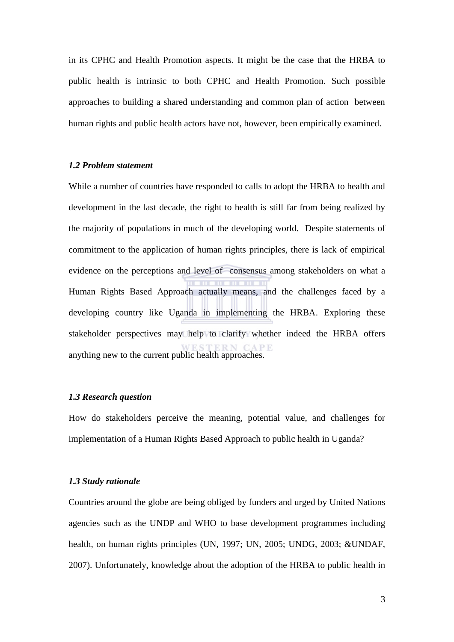in its CPHC and Health Promotion aspects. It might be the case that the HRBA to public health is intrinsic to both CPHC and Health Promotion. Such possible approaches to building a shared understanding and common plan of action between human rights and public health actors have not, however, been empirically examined.

# <span id="page-13-0"></span>*1.2 Problem statement*

While a number of countries have responded to calls to adopt the HRBA to health and development in the last decade, the right to health is still far from being realized by the majority of populations in much of the developing world. Despite statements of commitment to the application of human rights principles, there is lack of empirical evidence on the perceptions and level of consensus among stakeholders on what a Human Rights Based Approach actually means, and the challenges faced by a developing country like Uganda in implementing the HRBA. Exploring these stakeholder perspectives may help to clarify whether indeed the HRBA offers anything new to the current public health approaches.

# <span id="page-13-1"></span>*1.3 Research question*

How do stakeholders perceive the meaning, potential value, and challenges for implementation of a Human Rights Based Approach to public health in Uganda?

#### <span id="page-13-2"></span>*1.3 Study rationale*

Countries around the globe are being obliged by funders and urged by United Nations agencies such as the UNDP and WHO to base development programmes including health, on human rights principles (UN, 1997; UN, 2005; UNDG, 2003; &UNDAF, 2007). Unfortunately, knowledge about the adoption of the HRBA to public health in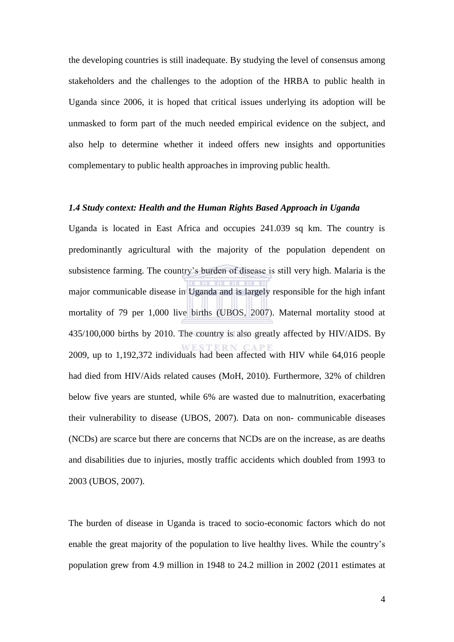the developing countries is still inadequate. By studying the level of consensus among stakeholders and the challenges to the adoption of the HRBA to public health in Uganda since 2006, it is hoped that critical issues underlying its adoption will be unmasked to form part of the much needed empirical evidence on the subject, and also help to determine whether it indeed offers new insights and opportunities complementary to public health approaches in improving public health.

#### <span id="page-14-0"></span>*1.4 Study context: Health and the Human Rights Based Approach in Uganda*

Uganda is located in East Africa and occupies 241.039 sq km. The country is predominantly agricultural with the majority of the population dependent on subsistence farming. The country's burden of disease is still very high. Malaria is the major communicable disease in Uganda and is largely responsible for the high infant mortality of 79 per 1,000 live births (UBOS, 2007). Maternal mortality stood at 435/100,000 births by 2010. The country is also greatly affected by HIV/AIDS. By 2009, up to 1,192,372 individuals had been affected with HIV while 64,016 people had died from HIV/Aids related causes (MoH, 2010). Furthermore, 32% of children below five years are stunted, while 6% are wasted due to malnutrition, exacerbating their vulnerability to disease (UBOS, 2007). Data on non- communicable diseases (NCDs) are scarce but there are concerns that NCDs are on the increase, as are deaths and disabilities due to injuries, mostly traffic accidents which doubled from 1993 to 2003 (UBOS, 2007).

The burden of disease in Uganda is traced to socio-economic factors which do not enable the great majority of the population to live healthy lives. While the country's population grew from 4.9 million in 1948 to 24.2 million in 2002 (2011 estimates at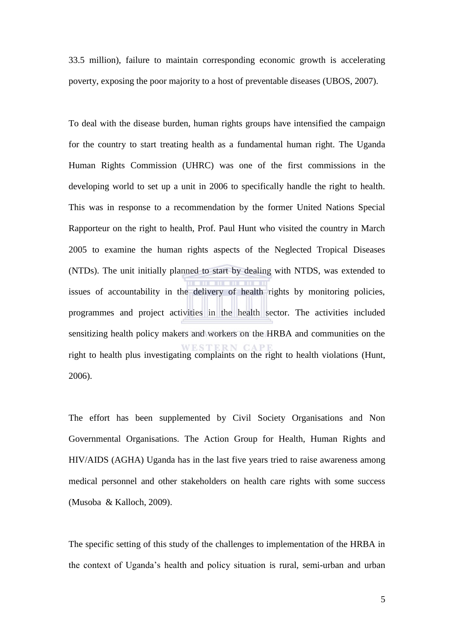33.5 million), failure to maintain corresponding economic growth is accelerating poverty, exposing the poor majority to a host of preventable diseases (UBOS, 2007).

To deal with the disease burden, human rights groups have intensified the campaign for the country to start treating health as a fundamental human right. The Uganda Human Rights Commission (UHRC) was one of the first commissions in the developing world to set up a unit in 2006 to specifically handle the right to health. This was in response to a recommendation by the former United Nations Special Rapporteur on the right to health, Prof. Paul Hunt who visited the country in March 2005 to examine the human rights aspects of the Neglected Tropical Diseases (NTDs). The unit initially planned to start by dealing with NTDS, was extended to issues of accountability in the delivery of health rights by monitoring policies, programmes and project activities in the health sector. The activities included sensitizing health policy makers and workers on the HRBA and communities on the right to health plus investigating complaints on the right to health violations (Hunt, 2006).

The effort has been supplemented by Civil Society Organisations and Non Governmental Organisations. The Action Group for Health, Human Rights and HIV/AIDS (AGHA) Uganda has in the last five years tried to raise awareness among medical personnel and other stakeholders on health care rights with some success (Musoba & Kalloch, 2009).

The specific setting of this study of the challenges to implementation of the HRBA in the context of Uganda's health and policy situation is rural, semi-urban and urban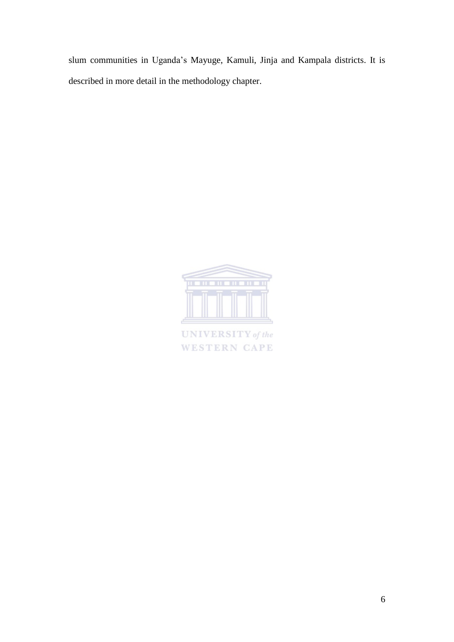slum communities in Uganda's Mayuge, Kamuli, Jinja and Kampala districts. It is described in more detail in the methodology chapter.



**UNIVERSITY** of the **WESTERN CAPE**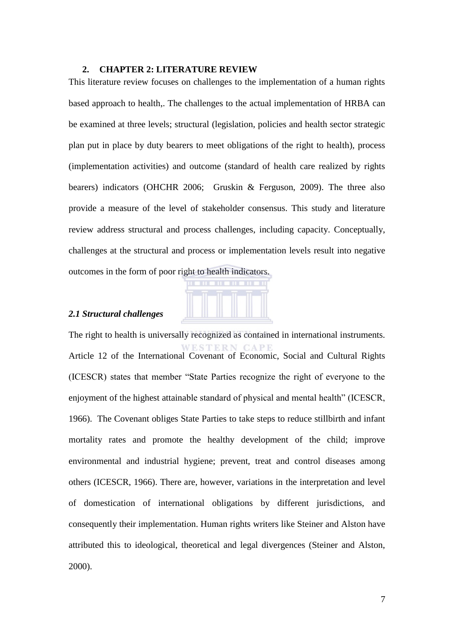#### <span id="page-17-0"></span>**2. CHAPTER 2: LITERATURE REVIEW**

This literature review focuses on challenges to the implementation of a human rights based approach to health,. The challenges to the actual implementation of HRBA can be examined at three levels; structural (legislation, policies and health sector strategic plan put in place by duty bearers to meet obligations of the right to health), process (implementation activities) and outcome (standard of health care realized by rights bearers) indicators (OHCHR 2006; Gruskin & Ferguson, 2009). The three also provide a measure of the level of stakeholder consensus. This study and literature review address structural and process challenges, including capacity. Conceptually, challenges at the structural and process or implementation levels result into negative outcomes in the form of poor right to health indicators.



# <span id="page-17-1"></span>*2.1 Structural challenges*

The right to health is universally recognized as contained in international instruments. STERN Article 12 of the International Covenant of Economic, Social and Cultural Rights (ICESCR) states that member "State Parties recognize the right of everyone to the enjoyment of the highest attainable standard of physical and mental health" (ICESCR, 1966). The Covenant obliges State Parties to take steps to reduce stillbirth and infant mortality rates and promote the healthy development of the child; improve environmental and industrial hygiene; prevent, treat and control diseases among others (ICESCR, 1966). There are, however, variations in the interpretation and level of domestication of international obligations by different jurisdictions, and consequently their implementation. Human rights writers like Steiner and Alston have attributed this to ideological, theoretical and legal divergences (Steiner and Alston, 2000).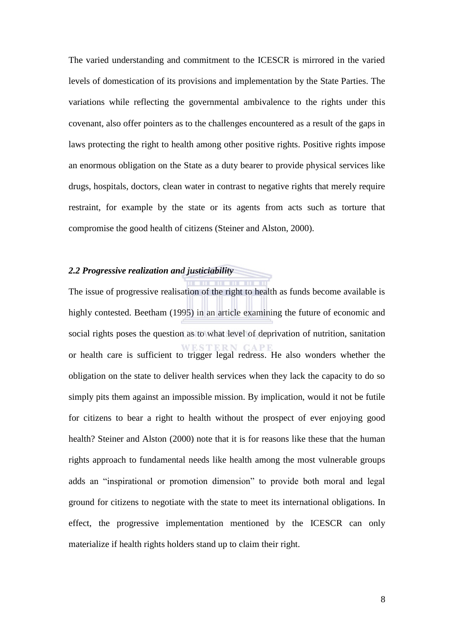The varied understanding and commitment to the ICESCR is mirrored in the varied levels of domestication of its provisions and implementation by the State Parties. The variations while reflecting the governmental ambivalence to the rights under this covenant, also offer pointers as to the challenges encountered as a result of the gaps in laws protecting the right to health among other positive rights. Positive rights impose an enormous obligation on the State as a duty bearer to provide physical services like drugs, hospitals, doctors, clean water in contrast to negative rights that merely require restraint, for example by the state or its agents from acts such as torture that compromise the good health of citizens (Steiner and Alston, 2000).

# <span id="page-18-0"></span>*2.2 Progressive realization and justiciability*

The issue of progressive realisation of the right to health as funds become available is highly contested. Beetham (1995) in an article examining the future of economic and social rights poses the question as to what level of deprivation of nutrition, sanitation or health care is sufficient to trigger legal redress. He also wonders whether the obligation on the state to deliver health services when they lack the capacity to do so simply pits them against an impossible mission. By implication, would it not be futile for citizens to bear a right to health without the prospect of ever enjoying good health? Steiner and Alston (2000) note that it is for reasons like these that the human rights approach to fundamental needs like health among the most vulnerable groups adds an "inspirational or promotion dimension" to provide both moral and legal ground for citizens to negotiate with the state to meet its international obligations. In effect, the progressive implementation mentioned by the ICESCR can only materialize if health rights holders stand up to claim their right.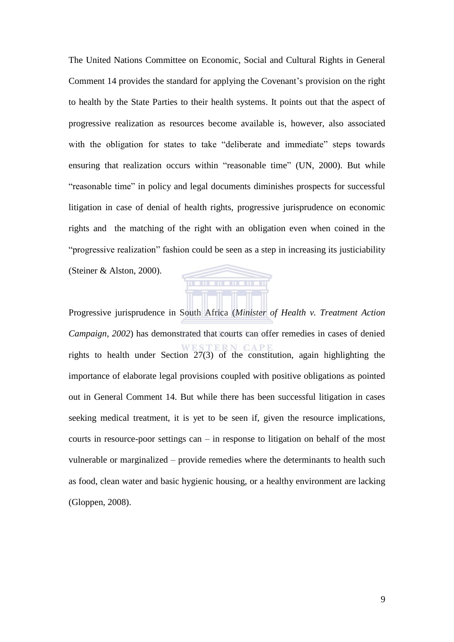The United Nations Committee on Economic, Social and Cultural Rights in General Comment 14 provides the standard for applying the Covenant's provision on the right to health by the State Parties to their health systems. It points out that the aspect of progressive realization as resources become available is, however, also associated with the obligation for states to take "deliberate and immediate" steps towards ensuring that realization occurs within "reasonable time" (UN, 2000). But while "reasonable time" in policy and legal documents diminishes prospects for successful litigation in case of denial of health rights, progressive jurisprudence on economic rights and the matching of the right with an obligation even when coined in the "progressive realization" fashion could be seen as a step in increasing its justiciability (Steiner & Alston, 2000).

**THE REAL** 

**TITLE** 

Progressive jurisprudence in South Africa (*Minister of Health v. Treatment Action Campaign, 2002*) has demonstrated that courts can offer remedies in cases of denied rights to health under Section 27(3) of the constitution, again highlighting the importance of elaborate legal provisions coupled with positive obligations as pointed out in General Comment 14. But while there has been successful litigation in cases seeking medical treatment, it is yet to be seen if, given the resource implications, courts in resource-poor settings can – in response to litigation on behalf of the most vulnerable or marginalized – provide remedies where the determinants to health such as food, clean water and basic hygienic housing, or a healthy environment are lacking (Gloppen, 2008).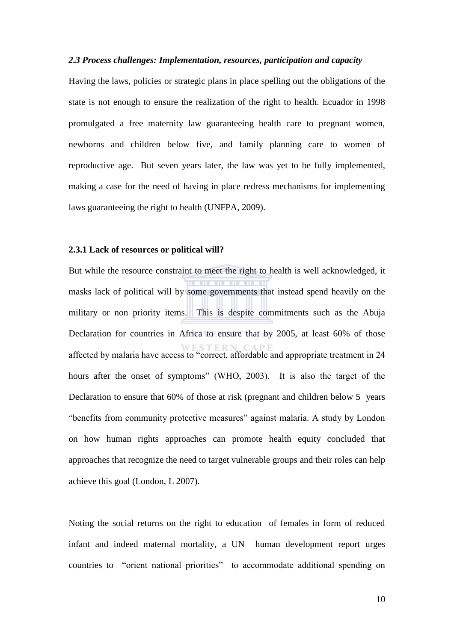#### <span id="page-20-0"></span>*2.3 Process challenges: Implementation, resources, participation and capacity*

Having the laws, policies or strategic plans in place spelling out the obligations of the state is not enough to ensure the realization of the right to health. Ecuador in 1998 promulgated a free maternity law guaranteeing health care to pregnant women, newborns and children below five, and family planning care to women of reproductive age. But seven years later, the law was yet to be fully implemented, making a case for the need of having in place redress mechanisms for implementing laws guaranteeing the right to health (UNFPA, 2009).

## <span id="page-20-1"></span>**2.3.1 Lack of resources or political will?**

But while the resource constraint to meet the right to health is well acknowledged, it masks lack of political will by some governments that instead spend heavily on the military or non priority items. This is despite commitments such as the Abuja Declaration for countries in Africa to ensure that by 2005, at least 60% of those affected by malaria have access to "correct, affordable and appropriate treatment in 24 hours after the onset of symptoms" (WHO, 2003). It is also the target of the Declaration to ensure that 60% of those at risk (pregnant and children below 5 years "benefits from community protective measures" against malaria. A study by London on how human rights approaches can promote health equity concluded that approaches that recognize the need to target vulnerable groups and their roles can help achieve this goal (London, L 2007).

Noting the social returns on the right to education of females in form of reduced infant and indeed maternal mortality, a UN human development report urges countries to "orient national priorities" to accommodate additional spending on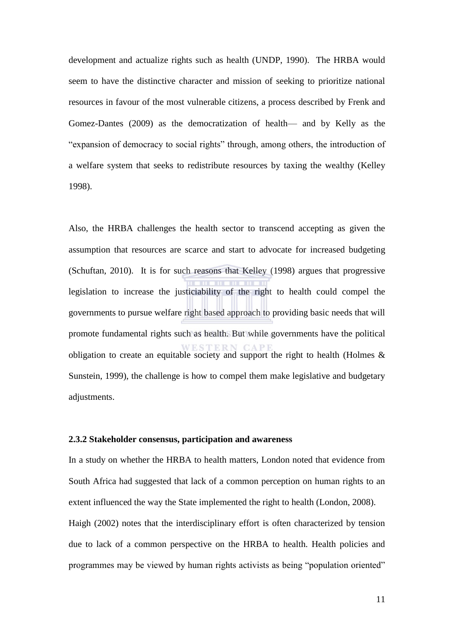development and actualize rights such as health (UNDP, 1990). The HRBA would seem to have the distinctive character and mission of seeking to prioritize national resources in favour of the most vulnerable citizens, a process described by Frenk and Gomez-Dantes (2009) as the democratization of health— and by Kelly as the "expansion of democracy to social rights" through, among others, the introduction of a welfare system that seeks to redistribute resources by taxing the wealthy (Kelley 1998).

Also, the HRBA challenges the health sector to transcend accepting as given the assumption that resources are scarce and start to advocate for increased budgeting (Schuftan, 2010). It is for such reasons that Kelley (1998) argues that progressive legislation to increase the justiciability of the right to health could compel the governments to pursue welfare right based approach to providing basic needs that will promote fundamental rights such as health. But while governments have the political obligation to create an equitable society and support the right to health (Holmes & Sunstein, 1999), the challenge is how to compel them make legislative and budgetary adjustments.

## <span id="page-21-0"></span>**2.3.2 Stakeholder consensus, participation and awareness**

In a study on whether the HRBA to health matters, London noted that evidence from South Africa had suggested that lack of a common perception on human rights to an extent influenced the way the State implemented the right to health (London, 2008). Haigh (2002) notes that the interdisciplinary effort is often characterized by tension due to lack of a common perspective on the HRBA to health. Health policies and programmes may be viewed by human rights activists as being "population oriented"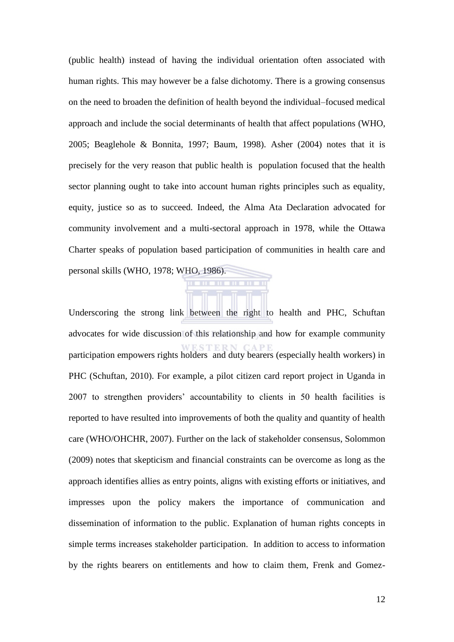(public health) instead of having the individual orientation often associated with human rights. This may however be a false dichotomy. There is a growing consensus on the need to broaden the definition of health beyond the individual–focused medical approach and include the social determinants of health that affect populations (WHO, 2005; Beaglehole & Bonnita, 1997; Baum, 1998). Asher (2004) notes that it is precisely for the very reason that public health is population focused that the health sector planning ought to take into account human rights principles such as equality, equity, justice so as to succeed. Indeed, the Alma Ata Declaration advocated for community involvement and a multi-sectoral approach in 1978, while the Ottawa Charter speaks of population based participation of communities in health care and personal skills (WHO, 1978; WHO, 1986).

Underscoring the strong link between the right to health and PHC, Schuftan advocates for wide discussion of this relationship and how for example community participation empowers rights holders and duty bearers (especially health workers) in PHC (Schuftan, 2010). For example, a pilot citizen card report project in Uganda in 2007 to strengthen providers' accountability to clients in 50 health facilities is reported to have resulted into improvements of both the quality and quantity of health care (WHO/OHCHR, 2007). Further on the lack of stakeholder consensus, Solommon (2009) notes that skepticism and financial constraints can be overcome as long as the approach identifies allies as entry points, aligns with existing efforts or initiatives, and impresses upon the policy makers the importance of communication and dissemination of information to the public. Explanation of human rights concepts in simple terms increases stakeholder participation. In addition to access to information by the rights bearers on entitlements and how to claim them, Frenk and Gomez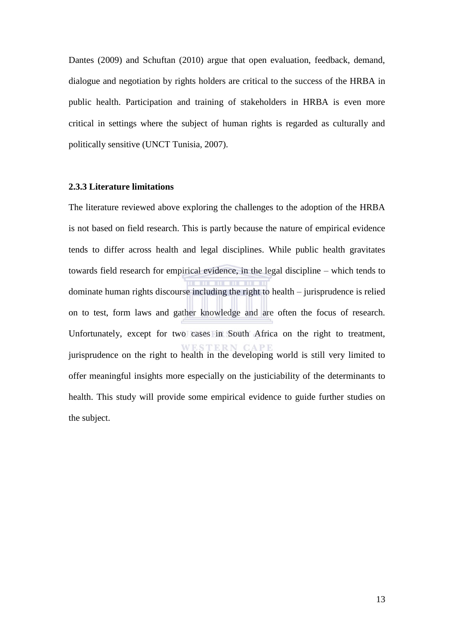Dantes (2009) and Schuftan (2010) argue that open evaluation, feedback, demand, dialogue and negotiation by rights holders are critical to the success of the HRBA in public health. Participation and training of stakeholders in HRBA is even more critical in settings where the subject of human rights is regarded as culturally and politically sensitive (UNCT Tunisia, 2007).

#### <span id="page-23-0"></span>**2.3.3 Literature limitations**

The literature reviewed above exploring the challenges to the adoption of the HRBA is not based on field research. This is partly because the nature of empirical evidence tends to differ across health and legal disciplines. While public health gravitates towards field research for empirical evidence, in the legal discipline – which tends to dominate human rights discourse including the right to health – jurisprudence is relied on to test, form laws and gather knowledge and are often the focus of research. Unfortunately, except for two cases in South Africa on the right to treatment, jurisprudence on the right to health in the developing world is still very limited to offer meaningful insights more especially on the justiciability of the determinants to health. This study will provide some empirical evidence to guide further studies on the subject.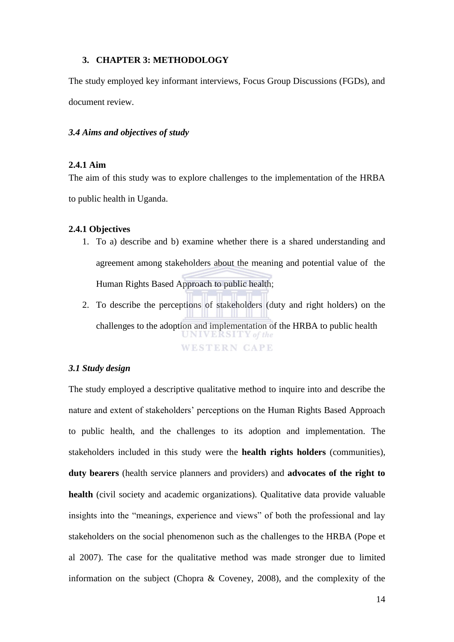### <span id="page-24-0"></span>**3. CHAPTER 3: METHODOLOGY**

The study employed key informant interviews, Focus Group Discussions (FGDs), and document review.

#### <span id="page-24-1"></span>*3.4 Aims and objectives of study*

## <span id="page-24-2"></span>**2.4.1 Aim**

The aim of this study was to explore challenges to the implementation of the HRBA to public health in Uganda.

### <span id="page-24-3"></span>**2.4.1 Objectives**

- 1. To a) describe and b) examine whether there is a shared understanding and agreement among stakeholders about the meaning and potential value of the Human Rights Based Approach to public health;
- 2. To describe the perceptions of stakeholders (duty and right holders) on the challenges to the adoption and implementation of the HRBA to public health UNIVERSITY of the **WESTERN CAPE**

## <span id="page-24-4"></span>*3.1 Study design*

The study employed a descriptive qualitative method to inquire into and describe the nature and extent of stakeholders' perceptions on the Human Rights Based Approach to public health, and the challenges to its adoption and implementation. The stakeholders included in this study were the **health rights holders** (communities), **duty bearers** (health service planners and providers) and **advocates of the right to health** (civil society and academic organizations). Qualitative data provide valuable insights into the "meanings, experience and views" of both the professional and lay stakeholders on the social phenomenon such as the challenges to the HRBA (Pope et al 2007). The case for the qualitative method was made stronger due to limited information on the subject (Chopra & Coveney, 2008), and the complexity of the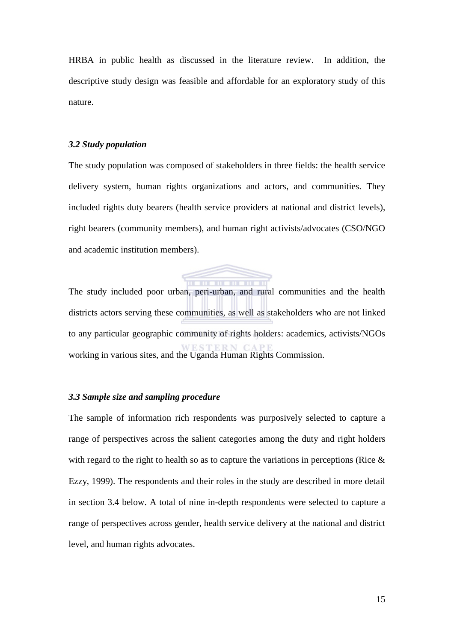HRBA in public health as discussed in the literature review. In addition, the descriptive study design was feasible and affordable for an exploratory study of this nature.

#### <span id="page-25-0"></span>*3.2 Study population*

The study population was composed of stakeholders in three fields: the health service delivery system, human rights organizations and actors, and communities. They included rights duty bearers (health service providers at national and district levels), right bearers (community members), and human right activists/advocates (CSO/NGO and academic institution members).



The study included poor urban, peri-urban, and rural communities and the health districts actors serving these communities, as well as stakeholders who are not linked to any particular geographic community of rights holders: academics, activists/NGOs working in various sites, and the Uganda Human Rights Commission.

## <span id="page-25-1"></span>*3.3 Sample size and sampling procedure*

The sample of information rich respondents was purposively selected to capture a range of perspectives across the salient categories among the duty and right holders with regard to the right to health so as to capture the variations in perceptions (Rice  $\&$ Ezzy, 1999). The respondents and their roles in the study are described in more detail in section 3.4 below. A total of nine in-depth respondents were selected to capture a range of perspectives across gender, health service delivery at the national and district level, and human rights advocates.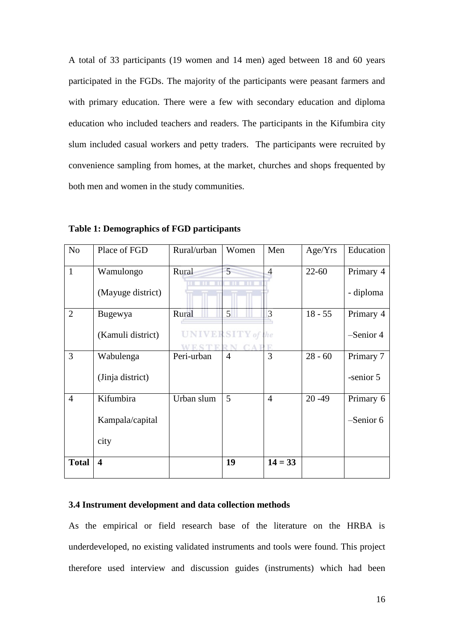A total of 33 participants (19 women and 14 men) aged between 18 and 60 years participated in the FGDs. The majority of the participants were peasant farmers and with primary education. There were a few with secondary education and diploma education who included teachers and readers. The participants in the Kifumbira city slum included casual workers and petty traders. The participants were recruited by convenience sampling from homes, at the market, churches and shops frequented by both men and women in the study communities.

| N <sub>o</sub> | Place of FGD                         | Rural/urban | Women                               | Men            | Age/Yrs   | Education                |
|----------------|--------------------------------------|-------------|-------------------------------------|----------------|-----------|--------------------------|
| 1              | Wamulongo<br>(Mayuge district)       | Rural       | 5<br><b>THE</b><br>ш                | 4              | $22 - 60$ | Primary 4<br>- diploma   |
| $\overline{2}$ | Bugewya<br>(Kamuli district)         | Rural       | 5 <sup>1</sup><br>UNIVERSITY of the | 3              | $18 - 55$ | Primary 4<br>$-Senior 4$ |
| 3              | Wabulenga<br>(Jinja district)        | Peri-urban  | $\overline{4}$                      | 3              | $28 - 60$ | Primary 7<br>-senior 5   |
| $\overline{4}$ | Kifumbira<br>Kampala/capital<br>city | Urban slum  | 5                                   | $\overline{4}$ | $20 - 49$ | Primary 6<br>$-Senior 6$ |
| <b>Total</b>   | $\overline{\mathbf{4}}$              |             | 19                                  | $14 = 33$      |           |                          |

**Table 1: Demographics of FGD participants** 

# **3.4 Instrument development and data collection methods**

As the empirical or field research base of the literature on the HRBA is underdeveloped, no existing validated instruments and tools were found. This project therefore used interview and discussion guides (instruments) which had been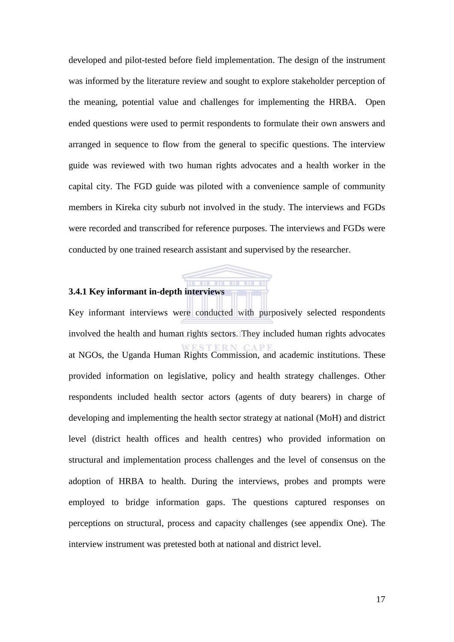developed and pilot-tested before field implementation. The design of the instrument was informed by the literature review and sought to explore stakeholder perception of the meaning, potential value and challenges for implementing the HRBA. Open ended questions were used to permit respondents to formulate their own answers and arranged in sequence to flow from the general to specific questions. The interview guide was reviewed with two human rights advocates and a health worker in the capital city. The FGD guide was piloted with a convenience sample of community members in Kireka city suburb not involved in the study. The interviews and FGDs were recorded and transcribed for reference purposes. The interviews and FGDs were conducted by one trained research assistant and supervised by the researcher.

# <span id="page-27-0"></span>**3.4.1 Key informant in-depth interviews**

Key informant interviews were conducted with purposively selected respondents involved the health and human rights sectors. They included human rights advocates at NGOs, the Uganda Human Rights Commission, and academic institutions. These provided information on legislative, policy and health strategy challenges. Other respondents included health sector actors (agents of duty bearers) in charge of developing and implementing the health sector strategy at national (MoH) and district level (district health offices and health centres) who provided information on structural and implementation process challenges and the level of consensus on the adoption of HRBA to health. During the interviews, probes and prompts were employed to bridge information gaps. The questions captured responses on perceptions on structural, process and capacity challenges (see appendix One). The interview instrument was pretested both at national and district level.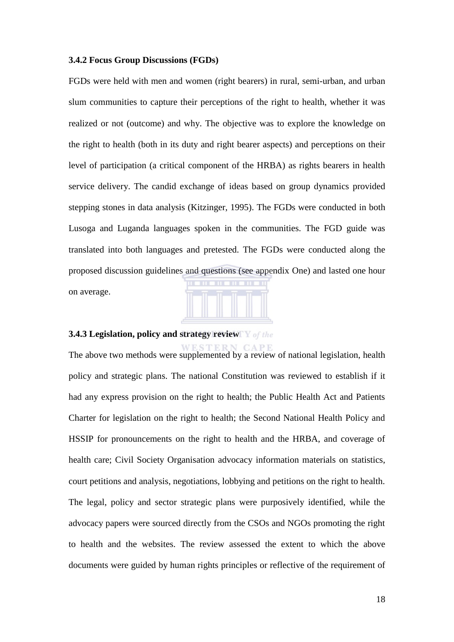#### <span id="page-28-0"></span>**3.4.2 Focus Group Discussions (FGDs)**

FGDs were held with men and women (right bearers) in rural, semi-urban, and urban slum communities to capture their perceptions of the right to health, whether it was realized or not (outcome) and why. The objective was to explore the knowledge on the right to health (both in its duty and right bearer aspects) and perceptions on their level of participation (a critical component of the HRBA) as rights bearers in health service delivery. The candid exchange of ideas based on group dynamics provided stepping stones in data analysis (Kitzinger, 1995). The FGDs were conducted in both Lusoga and Luganda languages spoken in the communities. The FGD guide was translated into both languages and pretested. The FGDs were conducted along the proposed discussion guidelines and questions (see appendix One) and lasted one hour on average.



#### <span id="page-28-1"></span>**3.4.3 Legislation, policy and strategy review**

The above two methods were supplemented by a review of national legislation, health policy and strategic plans. The national Constitution was reviewed to establish if it had any express provision on the right to health; the Public Health Act and Patients Charter for legislation on the right to health; the Second National Health Policy and HSSIP for pronouncements on the right to health and the HRBA, and coverage of health care; Civil Society Organisation advocacy information materials on statistics, court petitions and analysis, negotiations, lobbying and petitions on the right to health. The legal, policy and sector strategic plans were purposively identified, while the advocacy papers were sourced directly from the CSOs and NGOs promoting the right to health and the websites. The review assessed the extent to which the above documents were guided by human rights principles or reflective of the requirement of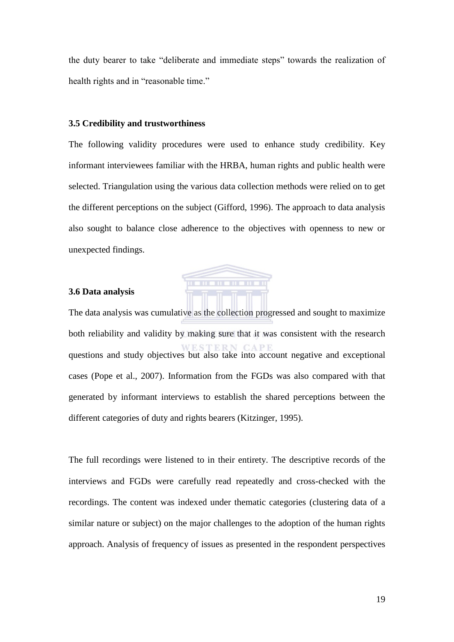the duty bearer to take "deliberate and immediate steps" towards the realization of health rights and in "reasonable time."

#### <span id="page-29-0"></span>**3.5 Credibility and trustworthiness**

The following validity procedures were used to enhance study credibility. Key informant interviewees familiar with the HRBA, human rights and public health were selected. Triangulation using the various data collection methods were relied on to get the different perceptions on the subject (Gifford, 1996). The approach to data analysis also sought to balance close adherence to the objectives with openness to new or unexpected findings.



## <span id="page-29-1"></span>**3.6 Data analysis**

The data analysis was cumulative as the collection progressed and sought to maximize both reliability and validity by making sure that it was consistent with the research questions and study objectives but also take into account negative and exceptional cases (Pope et al., 2007). Information from the FGDs was also compared with that generated by informant interviews to establish the shared perceptions between the different categories of duty and rights bearers (Kitzinger, 1995).

The full recordings were listened to in their entirety. The descriptive records of the interviews and FGDs were carefully read repeatedly and cross-checked with the recordings. The content was indexed under thematic categories (clustering data of a similar nature or subject) on the major challenges to the adoption of the human rights approach. Analysis of frequency of issues as presented in the respondent perspectives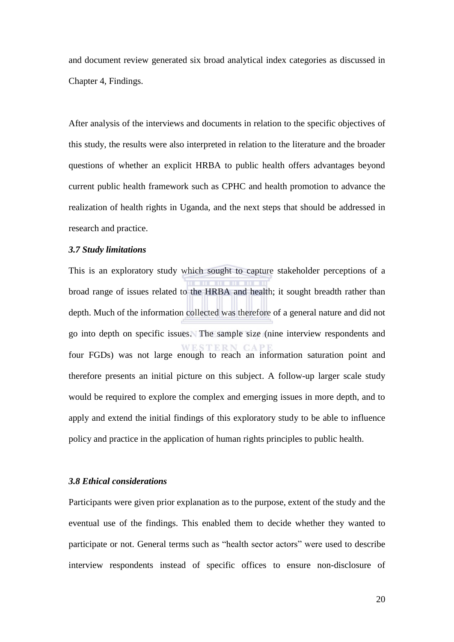and document review generated six broad analytical index categories as discussed in Chapter 4, Findings.

After analysis of the interviews and documents in relation to the specific objectives of this study, the results were also interpreted in relation to the literature and the broader questions of whether an explicit HRBA to public health offers advantages beyond current public health framework such as CPHC and health promotion to advance the realization of health rights in Uganda, and the next steps that should be addressed in research and practice.

### <span id="page-30-0"></span>*3.7 Study limitations*

This is an exploratory study which sought to capture stakeholder perceptions of a broad range of issues related to the HRBA and health; it sought breadth rather than depth. Much of the information collected was therefore of a general nature and did not go into depth on specific issues. The sample size (nine interview respondents and four FGDs) was not large enough to reach an information saturation point and therefore presents an initial picture on this subject. A follow-up larger scale study would be required to explore the complex and emerging issues in more depth, and to apply and extend the initial findings of this exploratory study to be able to influence policy and practice in the application of human rights principles to public health.

## <span id="page-30-1"></span>*3.8 Ethical considerations*

Participants were given prior explanation as to the purpose, extent of the study and the eventual use of the findings. This enabled them to decide whether they wanted to participate or not. General terms such as "health sector actors" were used to describe interview respondents instead of specific offices to ensure non-disclosure of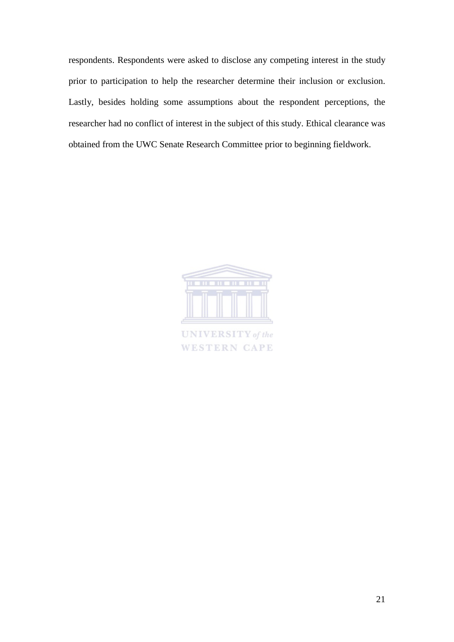respondents. Respondents were asked to disclose any competing interest in the study prior to participation to help the researcher determine their inclusion or exclusion. Lastly, besides holding some assumptions about the respondent perceptions, the researcher had no conflict of interest in the subject of this study. Ethical clearance was obtained from the UWC Senate Research Committee prior to beginning fieldwork.



**UNIVERSITY** of the **WESTERN CAPE**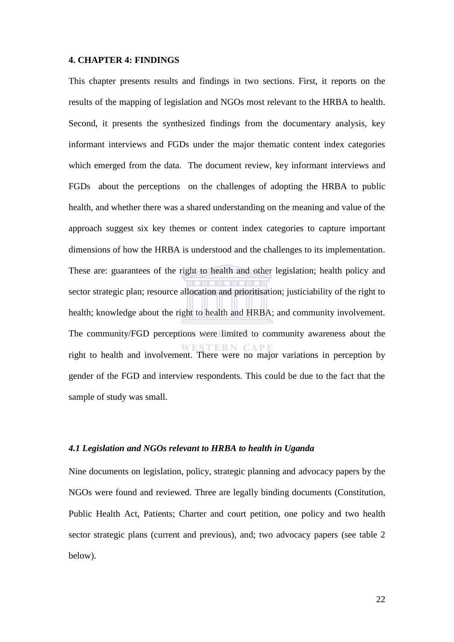#### <span id="page-32-0"></span>**4. CHAPTER 4: FINDINGS**

This chapter presents results and findings in two sections. First, it reports on the results of the mapping of legislation and NGOs most relevant to the HRBA to health. Second, it presents the synthesized findings from the documentary analysis, key informant interviews and FGDs under the major thematic content index categories which emerged from the data. The document review, key informant interviews and FGDs about the perceptions on the challenges of adopting the HRBA to public health, and whether there was a shared understanding on the meaning and value of the approach suggest six key themes or content index categories to capture important dimensions of how the HRBA is understood and the challenges to its implementation. These are: guarantees of the right to health and other legislation; health policy and sector strategic plan; resource allocation and prioritisation; justiciability of the right to health; knowledge about the right to health and HRBA; and community involvement. The community/FGD perceptions were limited to community awareness about the right to health and involvement. There were no major variations in perception by gender of the FGD and interview respondents. This could be due to the fact that the sample of study was small.

#### <span id="page-32-1"></span>*4.1 Legislation and NGOs relevant to HRBA to health in Uganda*

Nine documents on legislation, policy, strategic planning and advocacy papers by the NGOs were found and reviewed. Three are legally binding documents (Constitution, Public Health Act, Patients; Charter and court petition, one policy and two health sector strategic plans (current and previous), and; two advocacy papers (see table 2 below).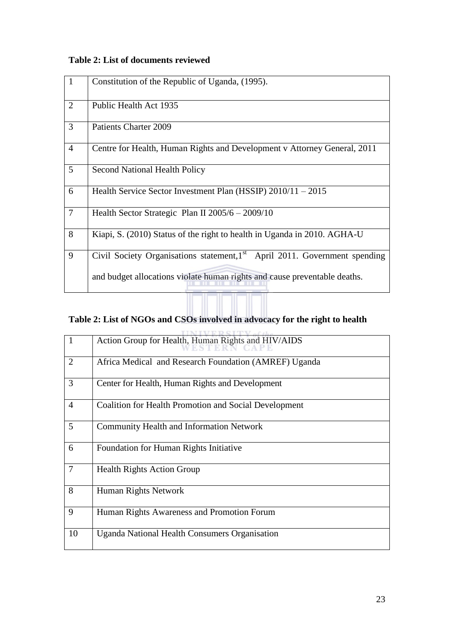# **Table 2: List of documents reviewed**

| $\mathbf{1}$   | Constitution of the Republic of Uganda, (1995).                                       |
|----------------|---------------------------------------------------------------------------------------|
| $\overline{2}$ | Public Health Act 1935                                                                |
| $\overline{3}$ | <b>Patients Charter 2009</b>                                                          |
| $\overline{4}$ | Centre for Health, Human Rights and Development v Attorney General, 2011              |
| 5              | <b>Second National Health Policy</b>                                                  |
| 6              | Health Service Sector Investment Plan (HSSIP) $2010/11 - 2015$                        |
| $\overline{7}$ | Health Sector Strategic Plan II 2005/6 - 2009/10                                      |
| 8              | Kiapi, S. (2010) Status of the right to health in Uganda in 2010. AGHA-U              |
| 9              | Civil Society Organisations statement,1 <sup>st</sup> April 2011. Government spending |
|                | and budget allocations violate human rights and cause preventable deaths.             |

# **Table 2: List of NGOs and CSOs involved in advocacy for the right to health**

|                 | Action Group for Health, Human Rights and HIV/AIDS           |
|-----------------|--------------------------------------------------------------|
| 2               | Africa Medical and Research Foundation (AMREF) Uganda        |
| 3               | Center for Health, Human Rights and Development              |
| $\overline{4}$  | <b>Coalition for Health Promotion and Social Development</b> |
| $5\overline{)}$ | <b>Community Health and Information Network</b>              |
| 6               | Foundation for Human Rights Initiative                       |
| $\overline{7}$  | <b>Health Rights Action Group</b>                            |
| 8               | Human Rights Network                                         |
| 9               | Human Rights Awareness and Promotion Forum                   |
| 10              | <b>Uganda National Health Consumers Organisation</b>         |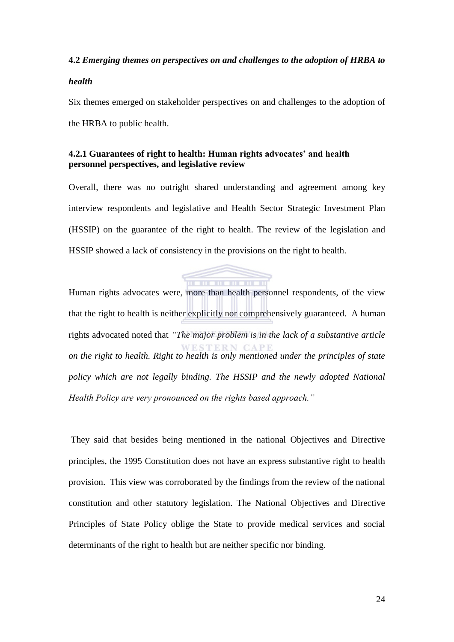# **4.2** *Emerging themes on perspectives on and challenges to the adoption of HRBA to*

# *health*

Six themes emerged on stakeholder perspectives on and challenges to the adoption of the HRBA to public health.

# <span id="page-34-0"></span>**4.2.1 Guarantees of right to health: Human rights advocates' and health personnel perspectives, and legislative review**

Overall, there was no outright shared understanding and agreement among key interview respondents and legislative and Health Sector Strategic Investment Plan (HSSIP) on the guarantee of the right to health. The review of the legislation and HSSIP showed a lack of consistency in the provisions on the right to health.



Human rights advocates were, more than health personnel respondents, of the view that the right to health is neither explicitly nor comprehensively guaranteed. A human rights advocated noted that *"The major problem is in the lack of a substantive article on the right to health. Right to health is only mentioned under the principles of state policy which are not legally binding. The HSSIP and the newly adopted National Health Policy are very pronounced on the rights based approach."*

 They said that besides being mentioned in the national Objectives and Directive principles, the 1995 Constitution does not have an express substantive right to health provision. This view was corroborated by the findings from the review of the national constitution and other statutory legislation. The National Objectives and Directive Principles of State Policy oblige the State to provide medical services and social determinants of the right to health but are neither specific nor binding.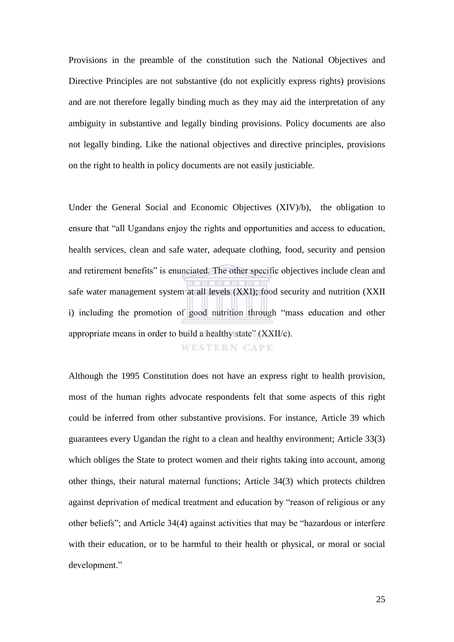Provisions in the preamble of the constitution such the National Objectives and Directive Principles are not substantive (do not explicitly express rights) provisions and are not therefore legally binding much as they may aid the interpretation of any ambiguity in substantive and legally binding provisions. Policy documents are also not legally binding. Like the national objectives and directive principles, provisions on the right to health in policy documents are not easily justiciable.

Under the General Social and Economic Objectives (XIV)/b), the obligation to ensure that "all Ugandans enjoy the rights and opportunities and access to education, health services, clean and safe water, adequate clothing, food, security and pension and retirement benefits" is enunciated. The other specific objectives include clean and safe water management system at all levels (XXI); food security and nutrition (XXII i) including the promotion of good nutrition through "mass education and other appropriate means in order to build a healthy state" (XXII/c).

**WESTERN CAPE** 

Although the 1995 Constitution does not have an express right to health provision, most of the human rights advocate respondents felt that some aspects of this right could be inferred from other substantive provisions. For instance, Article 39 which guarantees every Ugandan the right to a clean and healthy environment; Article 33(3) which obliges the State to protect women and their rights taking into account, among other things, their natural maternal functions; Article 34(3) which protects children against deprivation of medical treatment and education by "reason of religious or any other beliefs"; and Article 34(4) against activities that may be "hazardous or interfere with their education, or to be harmful to their health or physical, or moral or social development."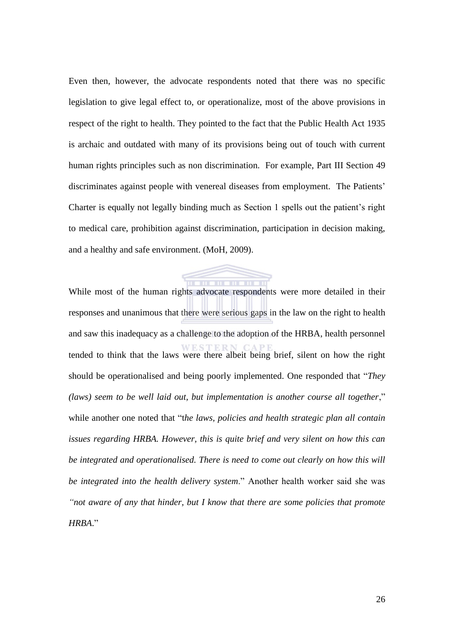Even then, however, the advocate respondents noted that there was no specific legislation to give legal effect to, or operationalize, most of the above provisions in respect of the right to health. They pointed to the fact that the Public Health Act 1935 is archaic and outdated with many of its provisions being out of touch with current human rights principles such as non discrimination. For example, Part III Section 49 discriminates against people with venereal diseases from employment. The Patients' Charter is equally not legally binding much as Section 1 spells out the patient's right to medical care, prohibition against discrimination, participation in decision making, and a healthy and safe environment. (MoH, 2009).

 $\blacksquare$ While most of the human rights advocate respondents were more detailed in their responses and unanimous that there were serious gaps in the law on the right to health and saw this inadequacy as a challenge to the adoption of the HRBA, health personnel tended to think that the laws were there albeit being brief, silent on how the right should be operationalised and being poorly implemented. One responded that *'They (laws)* seem to be well laid out, but implementation is another course all together," while another one noted that "the laws, policies and health strategic plan all contain *issues regarding HRBA. However, this is quite brief and very silent on how this can be integrated and operationalised. There is need to come out clearly on how this will be integrated into the health delivery system*.‖ Another health worker said she was *"not aware of any that hinder, but I know that there are some policies that promote HRBA*.‖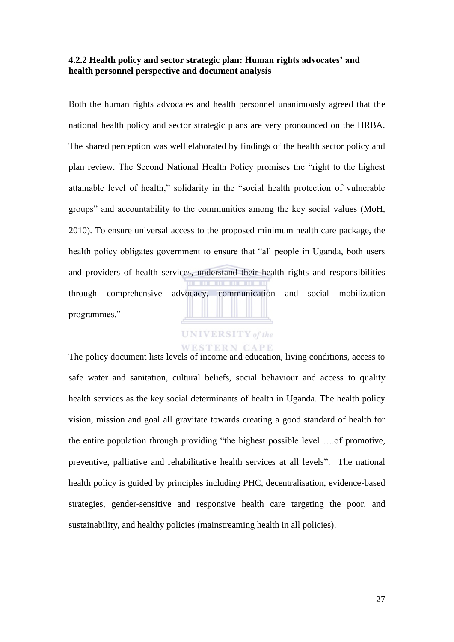### **4.2.2 Health policy and sector strategic plan: Human rights advocates' and health personnel perspective and document analysis**

Both the human rights advocates and health personnel unanimously agreed that the national health policy and sector strategic plans are very pronounced on the HRBA. The shared perception was well elaborated by findings of the health sector policy and plan review. The Second National Health Policy promises the "right to the highest" attainable level of health," solidarity in the "social health protection of vulnerable groups" and accountability to the communities among the key social values (MoH, 2010). To ensure universal access to the proposed minimum health care package, the health policy obligates government to ensure that "all people in Uganda, both users and providers of health services, understand their health rights and responsibilities through comprehensive advocacy, communication and social mobilization programmes."

# **UNIVERSITY** of the

### WESTERN CAPE

The policy document lists levels of income and education, living conditions, access to safe water and sanitation, cultural beliefs, social behaviour and access to quality health services as the key social determinants of health in Uganda. The health policy vision, mission and goal all gravitate towards creating a good standard of health for the entire population through providing "the highest possible level ....of promotive, preventive, palliative and rehabilitative health services at all levels". The national health policy is guided by principles including PHC, decentralisation, evidence-based strategies, gender-sensitive and responsive health care targeting the poor, and sustainability, and healthy policies (mainstreaming health in all policies).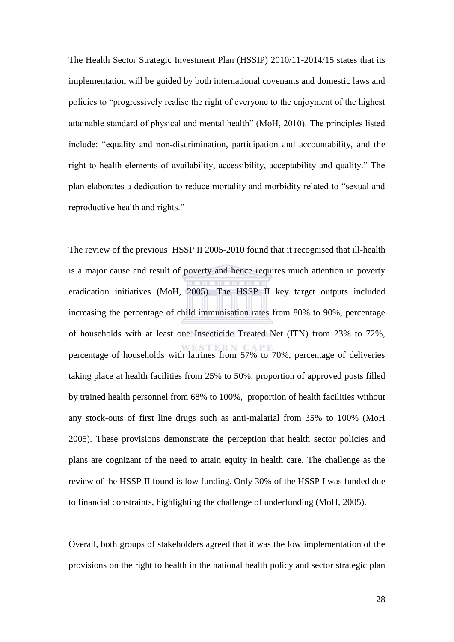The Health Sector Strategic Investment Plan (HSSIP) 2010/11-2014/15 states that its implementation will be guided by both international covenants and domestic laws and policies to "progressively realise the right of everyone to the enjoyment of the highest attainable standard of physical and mental health" (MoH, 2010). The principles listed include: "equality and non-discrimination, participation and accountability, and the right to health elements of availability, accessibility, acceptability and quality." The plan elaborates a dedication to reduce mortality and morbidity related to "sexual and reproductive health and rights."

The review of the previous HSSP II 2005-2010 found that it recognised that ill-health is a major cause and result of poverty and hence requires much attention in poverty eradication initiatives (MoH, 2005). The HSSP II key target outputs included increasing the percentage of child immunisation rates from 80% to 90%, percentage of households with at least one Insecticide Treated Net (ITN) from 23% to 72%, percentage of households with latrines from 57% to 70%, percentage of deliveries taking place at health facilities from 25% to 50%, proportion of approved posts filled by trained health personnel from 68% to 100%, proportion of health facilities without any stock-outs of first line drugs such as anti-malarial from 35% to 100% (MoH 2005). These provisions demonstrate the perception that health sector policies and plans are cognizant of the need to attain equity in health care. The challenge as the review of the HSSP II found is low funding. Only 30% of the HSSP I was funded due to financial constraints, highlighting the challenge of underfunding (MoH, 2005).

Overall, both groups of stakeholders agreed that it was the low implementation of the provisions on the right to health in the national health policy and sector strategic plan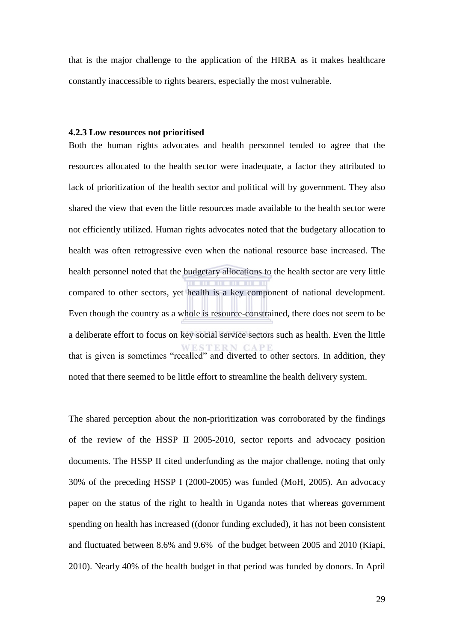that is the major challenge to the application of the HRBA as it makes healthcare constantly inaccessible to rights bearers, especially the most vulnerable.

### **4.2.3 Low resources not prioritised**

Both the human rights advocates and health personnel tended to agree that the resources allocated to the health sector were inadequate, a factor they attributed to lack of prioritization of the health sector and political will by government. They also shared the view that even the little resources made available to the health sector were not efficiently utilized. Human rights advocates noted that the budgetary allocation to health was often retrogressive even when the national resource base increased. The health personnel noted that the budgetary allocations to the health sector are very little compared to other sectors, yet health is a key component of national development. Even though the country as a whole is resource-constrained, there does not seem to be a deliberate effort to focus on key social service sectors such as health. Even the little **STERN CAPE** that is given is sometimes "recalled" and diverted to other sectors. In addition, they noted that there seemed to be little effort to streamline the health delivery system.

The shared perception about the non-prioritization was corroborated by the findings of the review of the HSSP II 2005-2010, sector reports and advocacy position documents. The HSSP II cited underfunding as the major challenge, noting that only 30% of the preceding HSSP I (2000-2005) was funded (MoH, 2005). An advocacy paper on the status of the right to health in Uganda notes that whereas government spending on health has increased ((donor funding excluded), it has not been consistent and fluctuated between 8.6% and 9.6% of the budget between 2005 and 2010 (Kiapi, 2010). Nearly 40% of the health budget in that period was funded by donors. In April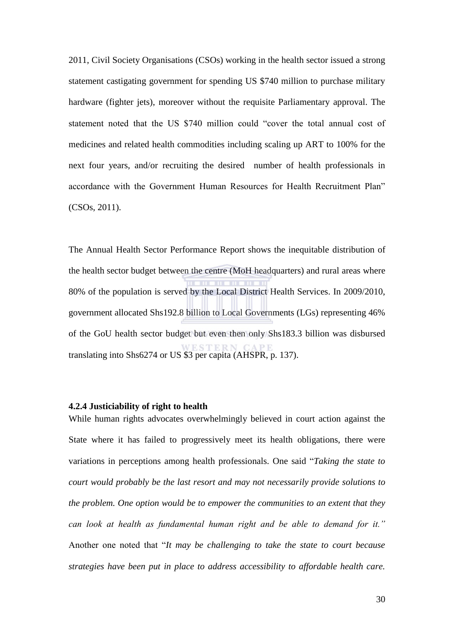2011, Civil Society Organisations (CSOs) working in the health sector issued a strong statement castigating government for spending US \$740 million to purchase military hardware (fighter jets), moreover without the requisite Parliamentary approval. The statement noted that the US \$740 million could "cover the total annual cost of medicines and related health commodities including scaling up ART to 100% for the next four years, and/or recruiting the desired number of health professionals in accordance with the Government Human Resources for Health Recruitment Plan" (CSOs, 2011).

The Annual Health Sector Performance Report shows the inequitable distribution of the health sector budget between the centre (MoH headquarters) and rural areas where 80% of the population is served by the Local District Health Services. In 2009/2010, government allocated Shs192.8 billion to Local Governments (LGs) representing 46% of the GoU health sector budget but even then only Shs183.3 billion was disbursed translating into Shs6274 or US \$3 per capita (AHSPR, p. 137).

### **4.2.4 Justiciability of right to health**

While human rights advocates overwhelmingly believed in court action against the State where it has failed to progressively meet its health obligations, there were variations in perceptions among health professionals. One said "Taking the state to *court would probably be the last resort and may not necessarily provide solutions to the problem. One option would be to empower the communities to an extent that they can look at health as fundamental human right and be able to demand for it."* Another one noted that "It may be challenging to take the state to court because *strategies have been put in place to address accessibility to affordable health care.*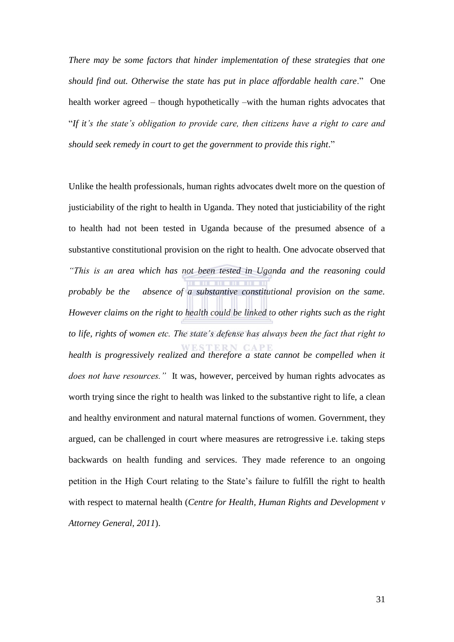*There may be some factors that hinder implementation of these strategies that one should find out. Otherwise the state has put in place affordable health care*.‖ One health worker agreed – though hypothetically –with the human rights advocates that ―*If it"s the state"s obligation to provide care, then citizens have a right to care and*  should seek remedy in court to get the government to provide this right."

Unlike the health professionals, human rights advocates dwelt more on the question of justiciability of the right to health in Uganda. They noted that justiciability of the right to health had not been tested in Uganda because of the presumed absence of a substantive constitutional provision on the right to health. One advocate observed that *"This is an area which has not been tested in Uganda and the reasoning could probably be the absence of a substantive constitutional provision on the same. However claims on the right to health could be linked to other rights such as the right to life, rights of women etc. The state"s defense has always been the fact that right to health is progressively realized and therefore a state cannot be compelled when it does not have resources."* It was, however, perceived by human rights advocates as worth trying since the right to health was linked to the substantive right to life, a clean and healthy environment and natural maternal functions of women. Government, they argued, can be challenged in court where measures are retrogressive i.e. taking steps backwards on health funding and services. They made reference to an ongoing petition in the High Court relating to the State's failure to fulfill the right to health with respect to maternal health (*Centre for Health, Human Rights and Development v Attorney General, 2011*).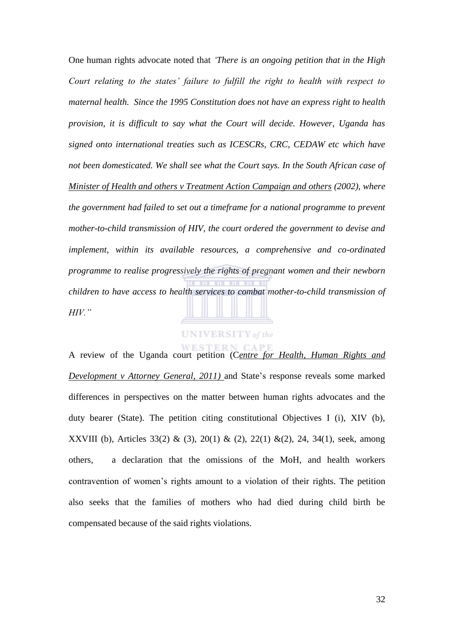One human rights advocate noted that *"There is an ongoing petition that in the High Court relating to the states" failure to fulfill the right to health with respect to maternal health. Since the 1995 Constitution does not have an express right to health provision, it is difficult to say what the Court will decide. However, Uganda has signed onto international treaties such as ICESCRs, CRC, CEDAW etc which have not been domesticated. We shall see what the Court says. In the South African case of Minister of Health and others v Treatment Action Campaign and others (2002), where the government had failed to set out a timeframe for a national programme to prevent mother-to-child transmission of HIV, the court ordered the government to devise and implement, within its available resources, a comprehensive and co-ordinated programme to realise progressively the rights of pregnant women and their newborn children to have access to health services to combat mother-to-child transmission of HIV."*

**UNIVERSITY** of the

A review of the Uganda court petition (C*entre for Health, Human Rights and Development v Attorney General, 2011)* and State's response reveals some marked differences in perspectives on the matter between human rights advocates and the duty bearer (State). The petition citing constitutional Objectives I (i), XIV (b), XXVIII (b), Articles 33(2) & (3), 20(1) & (2), 22(1) &(2), 24, 34(1), seek, among others, a declaration that the omissions of the MoH, and health workers contravention of women's rights amount to a violation of their rights. The petition also seeks that the families of mothers who had died during child birth be compensated because of the said rights violations.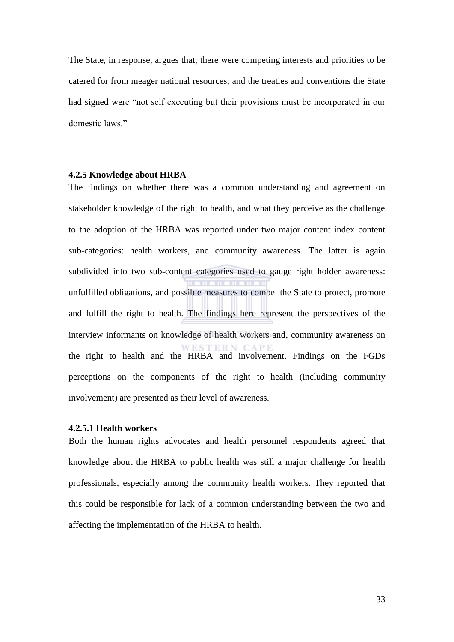The State, in response, argues that; there were competing interests and priorities to be catered for from meager national resources; and the treaties and conventions the State had signed were "not self executing but their provisions must be incorporated in our domestic laws."

### **4.2.5 Knowledge about HRBA**

The findings on whether there was a common understanding and agreement on stakeholder knowledge of the right to health, and what they perceive as the challenge to the adoption of the HRBA was reported under two major content index content sub-categories: health workers, and community awareness. The latter is again subdivided into two sub-content categories used to gauge right holder awareness: **THE REAL PROPERTY** unfulfilled obligations, and possible measures to compel the State to protect, promote and fulfill the right to health. The findings here represent the perspectives of the interview informants on knowledge of health workers and, community awareness on WESTERN CAPE the right to health and the HRBA and involvement. Findings on the FGDs perceptions on the components of the right to health (including community involvement) are presented as their level of awareness.

### **4.2.5.1 Health workers**

Both the human rights advocates and health personnel respondents agreed that knowledge about the HRBA to public health was still a major challenge for health professionals, especially among the community health workers. They reported that this could be responsible for lack of a common understanding between the two and affecting the implementation of the HRBA to health.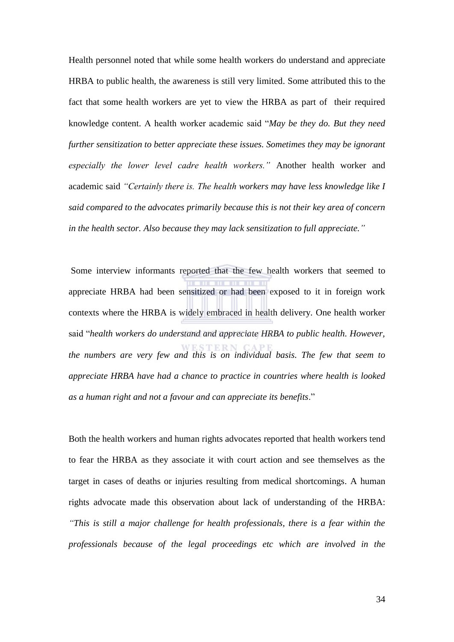Health personnel noted that while some health workers do understand and appreciate HRBA to public health, the awareness is still very limited. Some attributed this to the fact that some health workers are yet to view the HRBA as part of their required knowledge content. A health worker academic said "*May be they do. But they need further sensitization to better appreciate these issues. Sometimes they may be ignorant especially the lower level cadre health workers."* Another health worker and academic said *"Certainly there is. The health workers may have less knowledge like I said compared to the advocates primarily because this is not their key area of concern in the health sector. Also because they may lack sensitization to full appreciate."*

 Some interview informants reported that the few health workers that seemed to appreciate HRBA had been sensitized or had been exposed to it in foreign work contexts where the HRBA is widely embraced in health delivery. One health worker said "health workers do understand and appreciate HRBA to public health. However, *the numbers are very few and this is on individual basis. The few that seem to appreciate HRBA have had a chance to practice in countries where health is looked as a human right and not a favour and can appreciate its benefits*.‖

Both the health workers and human rights advocates reported that health workers tend to fear the HRBA as they associate it with court action and see themselves as the target in cases of deaths or injuries resulting from medical shortcomings. A human rights advocate made this observation about lack of understanding of the HRBA: *"This is still a major challenge for health professionals, there is a fear within the professionals because of the legal proceedings etc which are involved in the*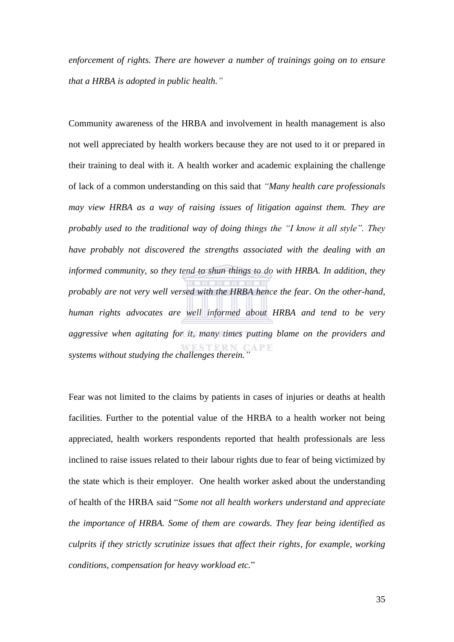*enforcement of rights. There are however a number of trainings going on to ensure that a HRBA is adopted in public health."* 

Community awareness of the HRBA and involvement in health management is also not well appreciated by health workers because they are not used to it or prepared in their training to deal with it. A health worker and academic explaining the challenge of lack of a common understanding on this said that *"Many health care professionals may view HRBA as a way of raising issues of litigation against them. They are probably used to the traditional way of doing things the "I know it all style". They have probably not discovered the strengths associated with the dealing with an informed community, so they tend to shun things to do with HRBA. In addition, they probably are not very well versed with the HRBA hence the fear. On the other-hand, human rights advocates are well informed about HRBA and tend to be very aggressive when agitating for it, many times putting blame on the providers and systems without studying the challenges therein."*

Fear was not limited to the claims by patients in cases of injuries or deaths at health facilities. Further to the potential value of the HRBA to a health worker not being appreciated, health workers respondents reported that health professionals are less inclined to raise issues related to their labour rights due to fear of being victimized by the state which is their employer. One health worker asked about the understanding of health of the HRBA said "*Some not all health workers understand and appreciate the importance of HRBA. Some of them are cowards. They fear being identified as culprits if they strictly scrutinize issues that affect their rights, for example, working conditions, compensation for heavy workload etc.*‖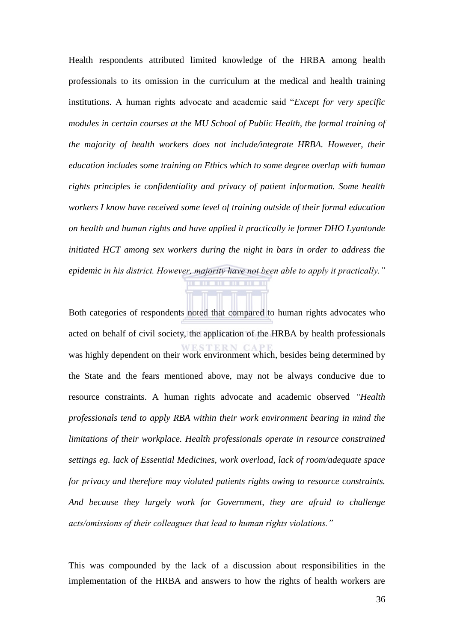Health respondents attributed limited knowledge of the HRBA among health professionals to its omission in the curriculum at the medical and health training institutions. A human rights advocate and academic said "*Except for very specific modules in certain courses at the MU School of Public Health, the formal training of the majority of health workers does not include/integrate HRBA. However, their education includes some training on Ethics which to some degree overlap with human rights principles ie confidentiality and privacy of patient information. Some health workers I know have received some level of training outside of their formal education on health and human rights and have applied it practically ie former DHO Lyantonde initiated HCT among sex workers during the night in bars in order to address the epidemic in his district. However, majority have not been able to apply it practically."* **THE REAL PROPERTY** 

Both categories of respondents noted that compared to human rights advocates who acted on behalf of civil society, the application of the HRBA by health professionals was highly dependent on their work environment which, besides being determined by the State and the fears mentioned above, may not be always conducive due to resource constraints. A human rights advocate and academic observed *"Health professionals tend to apply RBA within their work environment bearing in mind the limitations of their workplace. Health professionals operate in resource constrained settings eg. lack of Essential Medicines, work overload, lack of room/adequate space for privacy and therefore may violated patients rights owing to resource constraints. And because they largely work for Government, they are afraid to challenge acts/omissions of their colleagues that lead to human rights violations."*

This was compounded by the lack of a discussion about responsibilities in the implementation of the HRBA and answers to how the rights of health workers are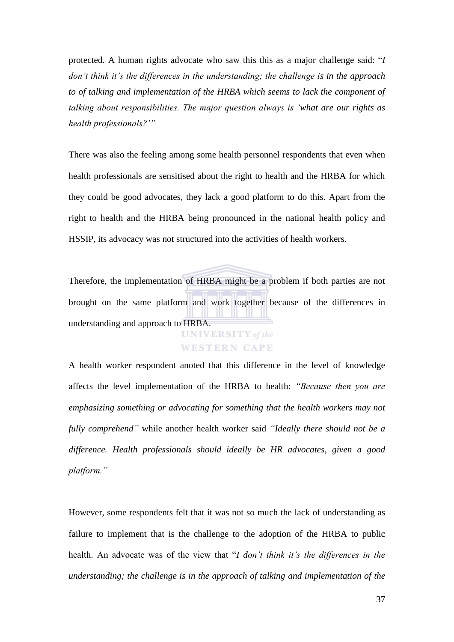protected. A human rights advocate who saw this this as a major challenge said: "I *don't think it's the differences in the understanding; the challenge is in the approach to of talking and implementation of the HRBA which seems to lack the component of talking about responsibilities. The major question always is "what are our rights as health professionals?""*

There was also the feeling among some health personnel respondents that even when health professionals are sensitised about the right to health and the HRBA for which they could be good advocates, they lack a good platform to do this. Apart from the right to health and the HRBA being pronounced in the national health policy and HSSIP, its advocacy was not structured into the activities of health workers.

Therefore, the implementation of HRBA might be a problem if both parties are not brought on the same platform and work together because of the differences in understanding and approach to HRBA. **UNIVERSITY** of the

# **WESTERN CAPE**

A health worker respondent anoted that this difference in the level of knowledge affects the level implementation of the HRBA to health: *"Because then you are emphasizing something or advocating for something that the health workers may not fully comprehend"* while another health worker said *"Ideally there should not be a difference. Health professionals should ideally be HR advocates, given a good platform."*

However, some respondents felt that it was not so much the lack of understanding as failure to implement that is the challenge to the adoption of the HRBA to public health. An advocate was of the view that "I don't think it's the differences in the *understanding; the challenge is in the approach of talking and implementation of the*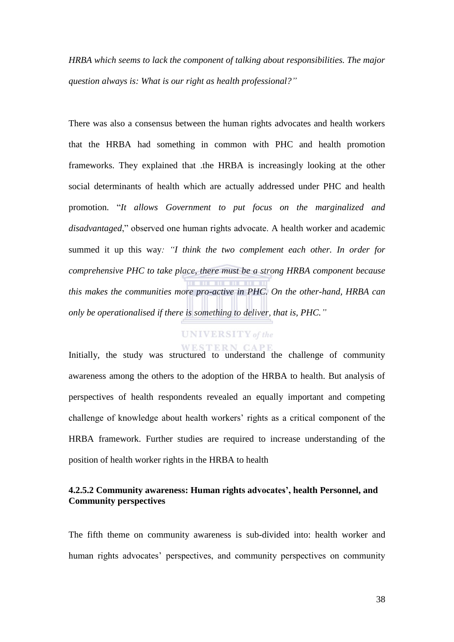*HRBA which seems to lack the component of talking about responsibilities. The major question always is: What is our right as health professional?"*

There was also a consensus between the human rights advocates and health workers that the HRBA had something in common with PHC and health promotion frameworks. They explained that .the HRBA is increasingly looking at the other social determinants of health which are actually addressed under PHC and health promotion. "It allows Government to put focus on the marginalized and *disadvantaged*," observed one human rights advocate. A health worker and academic summed it up this way*: "I think the two complement each other. In order for comprehensive PHC to take place, there must be a strong HRBA component because this makes the communities more pro-active in PHC. On the other-hand, HRBA can only be operationalised if there is something to deliver, that is, PHC."*

# **UNIVERSITY** of the

Initially, the study was structured to understand the challenge of community awareness among the others to the adoption of the HRBA to health. But analysis of perspectives of health respondents revealed an equally important and competing challenge of knowledge about health workers' rights as a critical component of the HRBA framework. Further studies are required to increase understanding of the position of health worker rights in the HRBA to health

# **4.2.5.2 Community awareness: Human rights advocates', health Personnel, and Community perspectives**

The fifth theme on community awareness is sub-divided into: health worker and human rights advocates' perspectives, and community perspectives on community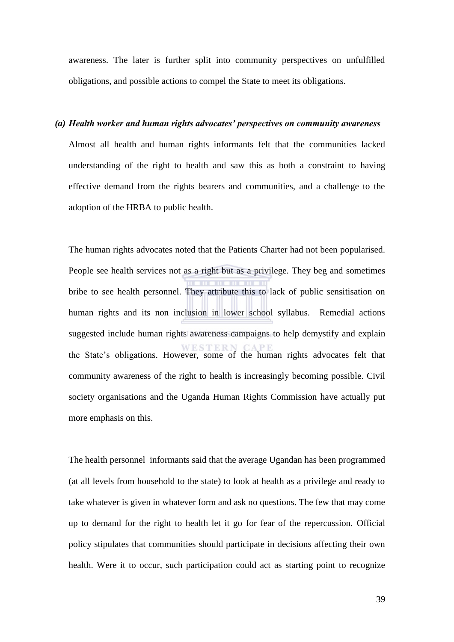awareness. The later is further split into community perspectives on unfulfilled obligations, and possible actions to compel the State to meet its obligations.

### *(a) Health worker and human rights advocates' perspectives on community awareness*

Almost all health and human rights informants felt that the communities lacked understanding of the right to health and saw this as both a constraint to having effective demand from the rights bearers and communities, and a challenge to the adoption of the HRBA to public health.

The human rights advocates noted that the Patients Charter had not been popularised. People see health services not as a right but as a privilege. They beg and sometimes bribe to see health personnel. They attribute this to lack of public sensitisation on human rights and its non inclusion in lower school syllabus. Remedial actions suggested include human rights awareness campaigns to help demystify and explain the State's obligations. However, some of the human rights advocates felt that community awareness of the right to health is increasingly becoming possible. Civil society organisations and the Uganda Human Rights Commission have actually put more emphasis on this.

The health personnel informants said that the average Ugandan has been programmed (at all levels from household to the state) to look at health as a privilege and ready to take whatever is given in whatever form and ask no questions. The few that may come up to demand for the right to health let it go for fear of the repercussion. Official policy stipulates that communities should participate in decisions affecting their own health. Were it to occur, such participation could act as starting point to recognize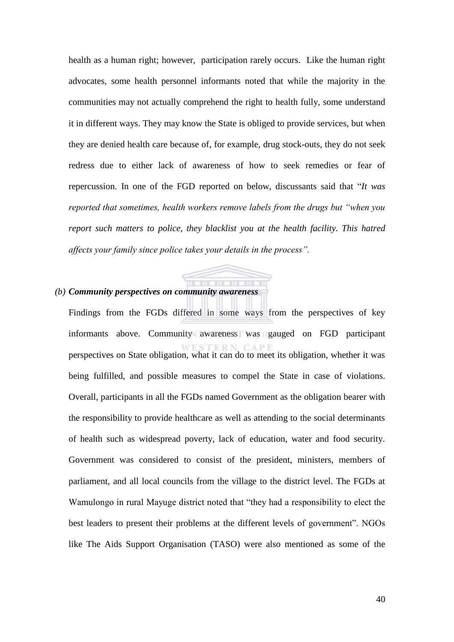health as a human right; however, participation rarely occurs. Like the human right advocates, some health personnel informants noted that while the majority in the communities may not actually comprehend the right to health fully, some understand it in different ways. They may know the State is obliged to provide services, but when they are denied health care because of, for example, drug stock-outs, they do not seek redress due to either lack of awareness of how to seek remedies or fear of repercussion. In one of the FGD reported on below, discussants said that "It was *reported that sometimes, health workers remove labels from the drugs but "when you report such matters to police, they blacklist you at the health facility. This hatred affects your family since police takes your details in the process".*

### *(b) Community perspectives on community awareness*

Findings from the FGDs differed in some ways from the perspectives of key informants above. Community awareness was gauged on FGD participant perspectives on State obligation, what it can do to meet its obligation, whether it was being fulfilled, and possible measures to compel the State in case of violations. Overall, participants in all the FGDs named Government as the obligation bearer with the responsibility to provide healthcare as well as attending to the social determinants of health such as widespread poverty, lack of education, water and food security. Government was considered to consist of the president, ministers, members of parliament, and all local councils from the village to the district level. The FGDs at Wamulongo in rural Mayuge district noted that "they had a responsibility to elect the best leaders to present their problems at the different levels of government". NGOs like The Aids Support Organisation (TASO) were also mentioned as some of the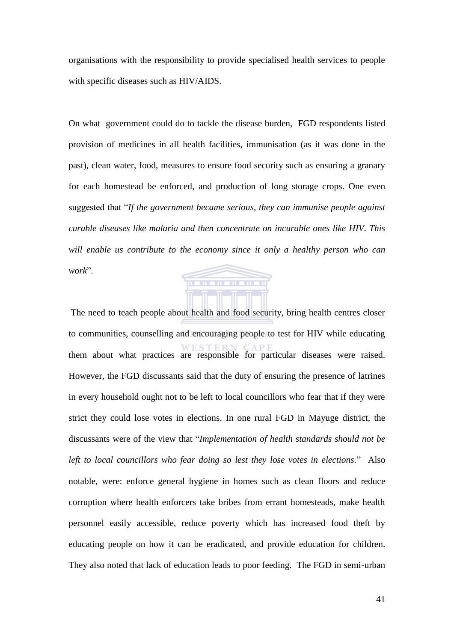organisations with the responsibility to provide specialised health services to people with specific diseases such as HIV/AIDS.

On what government could do to tackle the disease burden, FGD respondents listed provision of medicines in all health facilities, immunisation (as it was done in the past), clean water, food, measures to ensure food security such as ensuring a granary for each homestead be enforced, and production of long storage crops. One even suggested that "If the government became serious, they can immunise people against *curable diseases like malaria and then concentrate on incurable ones like HIV. This will enable us contribute to the economy since it only a healthy person who can*  work".

**THE REPORT** 

 The need to teach people about health and food security, bring health centres closer to communities, counselling and encouraging people to test for HIV while educating them about what practices are responsible for particular diseases were raised. However, the FGD discussants said that the duty of ensuring the presence of latrines in every household ought not to be left to local councillors who fear that if they were strict they could lose votes in elections. In one rural FGD in Mayuge district, the discussants were of the view that "Implementation of health standards should not be *left to local councillors who fear doing so lest they lose votes in elections*.‖ Also notable, were: enforce general hygiene in homes such as clean floors and reduce corruption where health enforcers take bribes from errant homesteads, make health personnel easily accessible, reduce poverty which has increased food theft by educating people on how it can be eradicated, and provide education for children. They also noted that lack of education leads to poor feeding. The FGD in semi-urban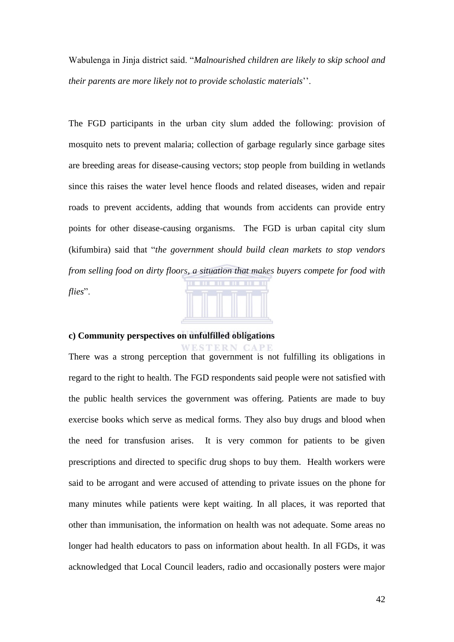Wabulenga in Jinja district said. "*Malnourished children are likely to skip school and their parents are more likely not to provide scholastic materials*''.

The FGD participants in the urban city slum added the following: provision of mosquito nets to prevent malaria; collection of garbage regularly since garbage sites are breeding areas for disease-causing vectors; stop people from building in wetlands since this raises the water level hence floods and related diseases, widen and repair roads to prevent accidents, adding that wounds from accidents can provide entry points for other disease-causing organisms. The FGD is urban capital city slum (kifumbira) said that "*the government should build clean markets to stop vendors from selling food on dirty floors, a situation that makes buyers compete for food with*  flies".

# **c) Community perspectives on unfulfilled obligations**

WESTERN CAPE There was a strong perception that government is not fulfilling its obligations in regard to the right to health. The FGD respondents said people were not satisfied with the public health services the government was offering. Patients are made to buy exercise books which serve as medical forms. They also buy drugs and blood when the need for transfusion arises. It is very common for patients to be given prescriptions and directed to specific drug shops to buy them. Health workers were said to be arrogant and were accused of attending to private issues on the phone for many minutes while patients were kept waiting. In all places, it was reported that other than immunisation, the information on health was not adequate. Some areas no longer had health educators to pass on information about health. In all FGDs, it was acknowledged that Local Council leaders, radio and occasionally posters were major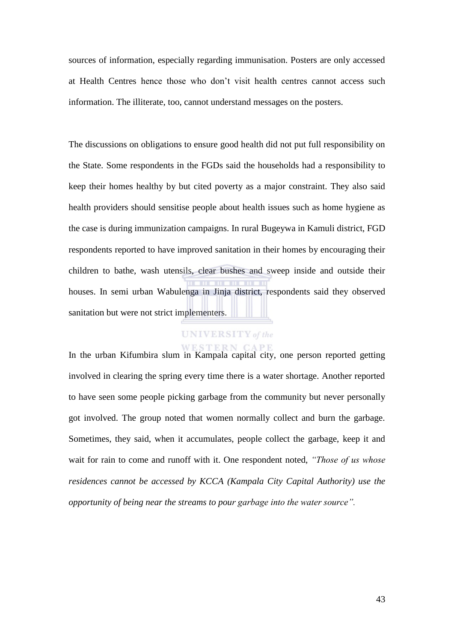sources of information, especially regarding immunisation. Posters are only accessed at Health Centres hence those who don't visit health centres cannot access such information. The illiterate, too, cannot understand messages on the posters.

The discussions on obligations to ensure good health did not put full responsibility on the State. Some respondents in the FGDs said the households had a responsibility to keep their homes healthy by but cited poverty as a major constraint. They also said health providers should sensitise people about health issues such as home hygiene as the case is during immunization campaigns. In rural Bugeywa in Kamuli district, FGD respondents reported to have improved sanitation in their homes by encouraging their children to bathe, wash utensils, clear bushes and sweep inside and outside their houses. In semi urban Wabulenga in Jinja district, respondents said they observed sanitation but were not strict implementers.

# **UNIVERSITY** of the

In the urban Kifumbira slum in Kampala capital city, one person reported getting involved in clearing the spring every time there is a water shortage. Another reported to have seen some people picking garbage from the community but never personally got involved. The group noted that women normally collect and burn the garbage. Sometimes, they said, when it accumulates, people collect the garbage, keep it and wait for rain to come and runoff with it. One respondent noted, *"Those of us whose residences cannot be accessed by KCCA (Kampala City Capital Authority) use the opportunity of being near the streams to pour garbage into the water source".*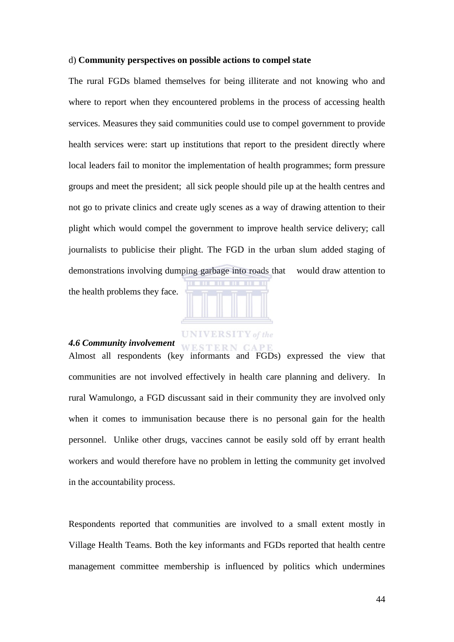### d) **Community perspectives on possible actions to compel state**

The rural FGDs blamed themselves for being illiterate and not knowing who and where to report when they encountered problems in the process of accessing health services. Measures they said communities could use to compel government to provide health services were: start up institutions that report to the president directly where local leaders fail to monitor the implementation of health programmes; form pressure groups and meet the president; all sick people should pile up at the health centres and not go to private clinics and create ugly scenes as a way of drawing attention to their plight which would compel the government to improve health service delivery; call journalists to publicise their plight. The FGD in the urban slum added staging of demonstrations involving dumping garbage into roads that would draw attention to the health problems they face.



### *4.6 Community involvement*

Almost all respondents (key informants and FGDs) expressed the view that communities are not involved effectively in health care planning and delivery. In rural Wamulongo, a FGD discussant said in their community they are involved only when it comes to immunisation because there is no personal gain for the health personnel. Unlike other drugs, vaccines cannot be easily sold off by errant health workers and would therefore have no problem in letting the community get involved in the accountability process.

Respondents reported that communities are involved to a small extent mostly in Village Health Teams. Both the key informants and FGDs reported that health centre management committee membership is influenced by politics which undermines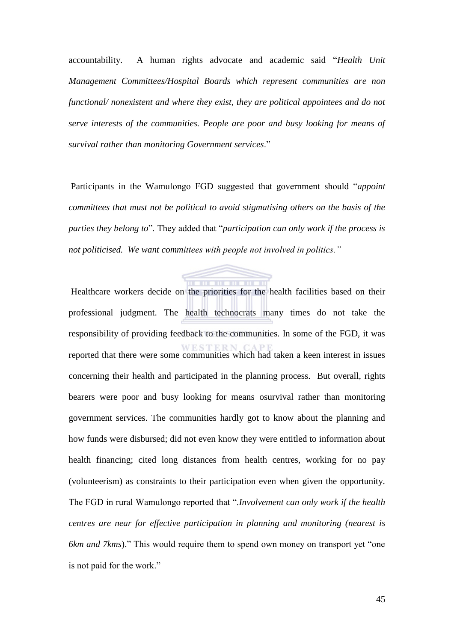accountability. A human rights advocate and academic said "Health Unit *Management Committees/Hospital Boards which represent communities are non functional/ nonexistent and where they exist, they are political appointees and do not serve interests of the communities. People are poor and busy looking for means of survival rather than monitoring Government services*.‖

Participants in the Wamulongo FGD suggested that government should "appoint *committees that must not be political to avoid stigmatising others on the basis of the parties they belong to*". They added that "*participation can only work if the process is not politicised. We want committees with people not involved in politics."*



 Healthcare workers decide on the priorities for the health facilities based on their professional judgment. The health technocrats many times do not take the responsibility of providing feedback to the communities. In some of the FGD, it was reported that there were some communities which had taken a keen interest in issues concerning their health and participated in the planning process. But overall, rights bearers were poor and busy looking for means osurvival rather than monitoring government services. The communities hardly got to know about the planning and how funds were disbursed; did not even know they were entitled to information about health financing; cited long distances from health centres, working for no pay (volunteerism) as constraints to their participation even when given the opportunity. The FGD in rural Wamulongo reported that ".*Involvement can only work if the health centres are near for effective participation in planning and monitoring (nearest is 6km and 7kms*)." This would require them to spend own money on transport yet "one is not paid for the work."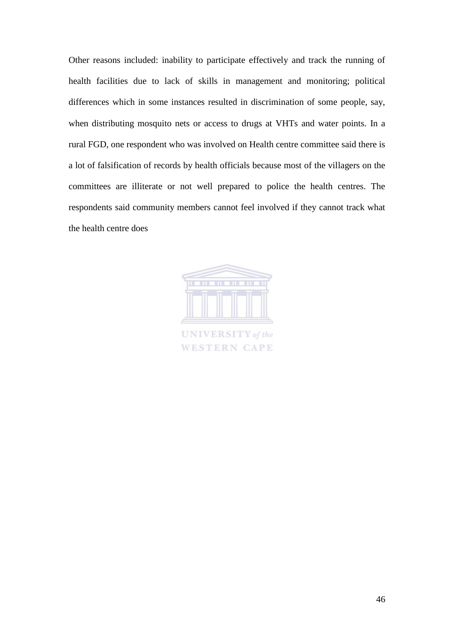Other reasons included: inability to participate effectively and track the running of health facilities due to lack of skills in management and monitoring; political differences which in some instances resulted in discrimination of some people, say, when distributing mosquito nets or access to drugs at VHTs and water points. In a rural FGD, one respondent who was involved on Health centre committee said there is a lot of falsification of records by health officials because most of the villagers on the committees are illiterate or not well prepared to police the health centres. The respondents said community members cannot feel involved if they cannot track what the health centre does



**UNIVERSITY** of the **WESTERN CAPE**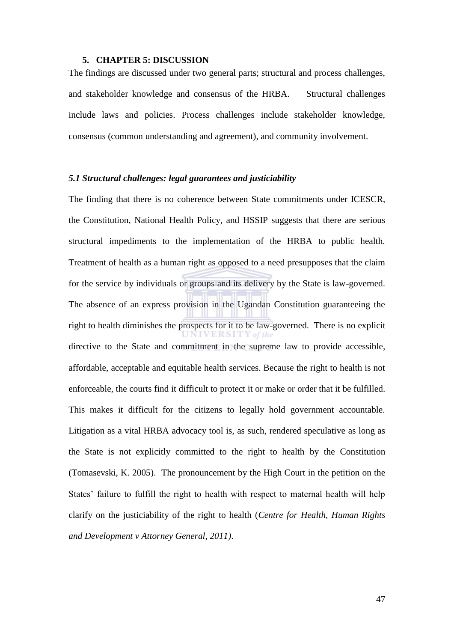### **5. CHAPTER 5: DISCUSSION**

The findings are discussed under two general parts; structural and process challenges, and stakeholder knowledge and consensus of the HRBA. Structural challenges include laws and policies. Process challenges include stakeholder knowledge, consensus (common understanding and agreement), and community involvement.

### *5.1 Structural challenges: legal guarantees and justiciability*

The finding that there is no coherence between State commitments under ICESCR, the Constitution, National Health Policy, and HSSIP suggests that there are serious structural impediments to the implementation of the HRBA to public health. Treatment of health as a human right as opposed to a need presupposes that the claim for the service by individuals or groups and its delivery by the State is law-governed. The absence of an express provision in the Ugandan Constitution guaranteeing the right to health diminishes the prospects for it to be law-governed. There is no explicit Y of the ERSIT directive to the State and commitment in the supreme law to provide accessible, affordable, acceptable and equitable health services. Because the right to health is not enforceable, the courts find it difficult to protect it or make or order that it be fulfilled. This makes it difficult for the citizens to legally hold government accountable. Litigation as a vital HRBA advocacy tool is, as such, rendered speculative as long as the State is not explicitly committed to the right to health by the Constitution (Tomasevski, K. 2005). The pronouncement by the High Court in the petition on the States' failure to fulfill the right to health with respect to maternal health will help clarify on the justiciability of the right to health (*Centre for Health, Human Rights and Development v Attorney General, 2011)*.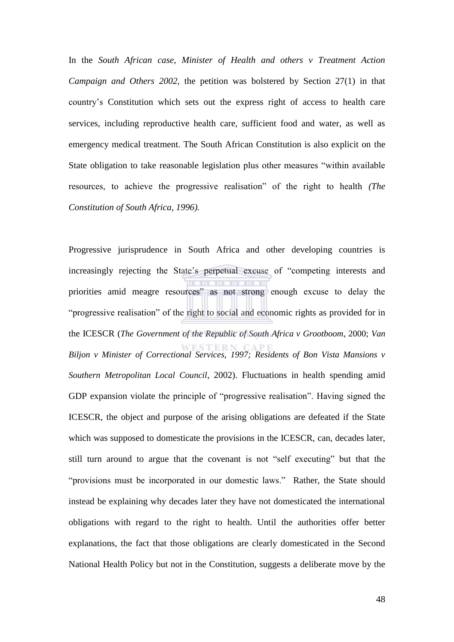In the *South African case, Minister of Health and others v Treatment Action Campaign and Others 2002,* the petition was bolstered by Section 27(1) in that country's Constitution which sets out the express right of access to health care services, including reproductive health care, sufficient food and water, as well as emergency medical treatment. The South African Constitution is also explicit on the State obligation to take reasonable legislation plus other measures "within available" resources, to achieve the progressive realisation" of the right to health *(The Constitution of South Africa, 1996).* 

Progressive jurisprudence in South Africa and other developing countries is increasingly rejecting the State's perpetual excuse of "competing interests and priorities amid meagre resources" as not strong enough excuse to delay the "progressive realisation" of the right to social and economic rights as provided for in the ICESCR (*The Government of the Republic of South Africa v Grootboom*, 2000; *Van Biljon v Minister of Correctional Services, 1997; Residents of Bon Vista Mansions v Southern Metropolitan Local Council*, 2002). Fluctuations in health spending amid GDP expansion violate the principle of "progressive realisation". Having signed the ICESCR, the object and purpose of the arising obligations are defeated if the State which was supposed to domesticate the provisions in the ICESCR, can, decades later, still turn around to argue that the covenant is not "self executing" but that the "provisions must be incorporated in our domestic laws." Rather, the State should instead be explaining why decades later they have not domesticated the international obligations with regard to the right to health. Until the authorities offer better explanations, the fact that those obligations are clearly domesticated in the Second National Health Policy but not in the Constitution, suggests a deliberate move by the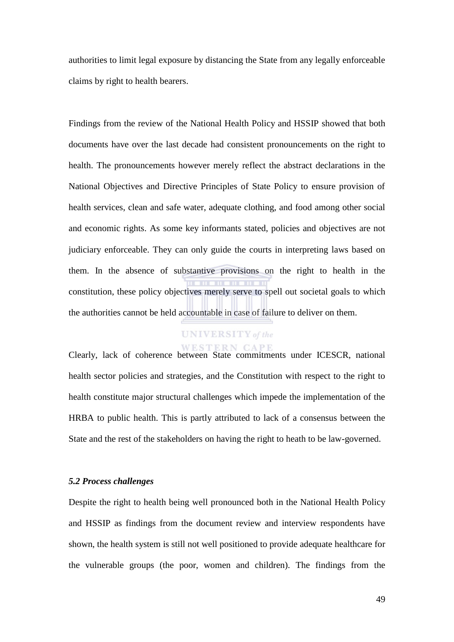authorities to limit legal exposure by distancing the State from any legally enforceable claims by right to health bearers.

Findings from the review of the National Health Policy and HSSIP showed that both documents have over the last decade had consistent pronouncements on the right to health. The pronouncements however merely reflect the abstract declarations in the National Objectives and Directive Principles of State Policy to ensure provision of health services, clean and safe water, adequate clothing, and food among other social and economic rights. As some key informants stated, policies and objectives are not judiciary enforceable. They can only guide the courts in interpreting laws based on them. In the absence of substantive provisions on the right to health in the constitution, these policy objectives merely serve to spell out societal goals to which the authorities cannot be held accountable in case of failure to deliver on them.

# **UNIVERSITY** of the

Clearly, lack of coherence between State commitments under ICESCR, national health sector policies and strategies, and the Constitution with respect to the right to health constitute major structural challenges which impede the implementation of the HRBA to public health. This is partly attributed to lack of a consensus between the State and the rest of the stakeholders on having the right to heath to be law-governed.

### *5.2 Process challenges*

Despite the right to health being well pronounced both in the National Health Policy and HSSIP as findings from the document review and interview respondents have shown, the health system is still not well positioned to provide adequate healthcare for the vulnerable groups (the poor, women and children). The findings from the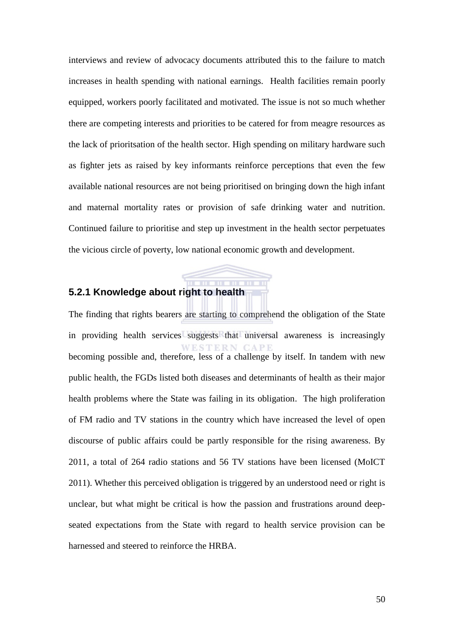interviews and review of advocacy documents attributed this to the failure to match increases in health spending with national earnings. Health facilities remain poorly equipped, workers poorly facilitated and motivated. The issue is not so much whether there are competing interests and priorities to be catered for from meagre resources as the lack of prioritsation of the health sector. High spending on military hardware such as fighter jets as raised by key informants reinforce perceptions that even the few available national resources are not being prioritised on bringing down the high infant and maternal mortality rates or provision of safe drinking water and nutrition. Continued failure to prioritise and step up investment in the health sector perpetuates the vicious circle of poverty, low national economic growth and development.

# **5.2.1 Knowledge about right to health**

The finding that rights bearers are starting to comprehend the obligation of the State in providing health services suggests that universal awareness is increasingly becoming possible and, therefore, less of a challenge by itself. In tandem with new public health, the FGDs listed both diseases and determinants of health as their major health problems where the State was failing in its obligation. The high proliferation of FM radio and TV stations in the country which have increased the level of open discourse of public affairs could be partly responsible for the rising awareness. By 2011, a total of 264 radio stations and 56 TV stations have been licensed (MoICT 2011). Whether this perceived obligation is triggered by an understood need or right is unclear, but what might be critical is how the passion and frustrations around deepseated expectations from the State with regard to health service provision can be harnessed and steered to reinforce the HRBA.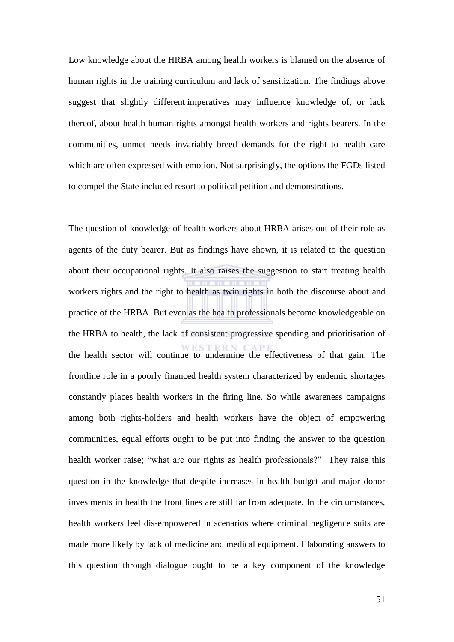Low knowledge about the HRBA among health workers is blamed on the absence of human rights in the training curriculum and lack of sensitization. The findings above suggest that slightly different imperatives may influence knowledge of, or lack thereof, about health human rights amongst health workers and rights bearers. In the communities, unmet needs invariably breed demands for the right to health care which are often expressed with emotion. Not surprisingly, the options the FGDs listed to compel the State included resort to political petition and demonstrations.

The question of knowledge of health workers about HRBA arises out of their role as agents of the duty bearer. But as findings have shown, it is related to the question about their occupational rights. It also raises the suggestion to start treating health workers rights and the right to health as twin rights in both the discourse about and practice of the HRBA. But even as the health professionals become knowledgeable on the HRBA to health, the lack of consistent progressive spending and prioritisation of the health sector will continue to undermine the effectiveness of that gain. The frontline role in a poorly financed health system characterized by endemic shortages constantly places health workers in the firing line. So while awareness campaigns among both rights-holders and health workers have the object of empowering communities, equal efforts ought to be put into finding the answer to the question health worker raise; "what are our rights as health professionals?" They raise this question in the knowledge that despite increases in health budget and major donor investments in health the front lines are still far from adequate. In the circumstances, health workers feel dis-empowered in scenarios where criminal negligence suits are made more likely by lack of medicine and medical equipment. Elaborating answers to this question through dialogue ought to be a key component of the knowledge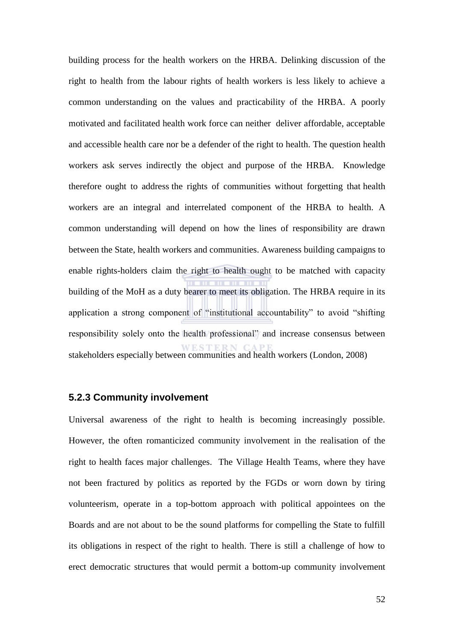building process for the health workers on the HRBA. Delinking discussion of the right to health from the labour rights of health workers is less likely to achieve a common understanding on the values and practicability of the HRBA. A poorly motivated and facilitated health work force can neither deliver affordable, acceptable and accessible health care nor be a defender of the right to health. The question health workers ask serves indirectly the object and purpose of the HRBA. Knowledge therefore ought to address the rights of communities without forgetting that health workers are an integral and interrelated component of the HRBA to health. A common understanding will depend on how the lines of responsibility are drawn between the State, health workers and communities. Awareness building campaigns to enable rights-holders claim the right to health ought to be matched with capacity building of the MoH as a duty bearer to meet its obligation. The HRBA require in its application a strong component of "institutional accountability" to avoid "shifting" responsibility solely onto the health professional" and increase consensus between stakeholders especially between communities and health workers (London, 2008)

## **5.2.3 Community involvement**

Universal awareness of the right to health is becoming increasingly possible. However, the often romanticized community involvement in the realisation of the right to health faces major challenges. The Village Health Teams, where they have not been fractured by politics as reported by the FGDs or worn down by tiring volunteerism, operate in a top-bottom approach with political appointees on the Boards and are not about to be the sound platforms for compelling the State to fulfill its obligations in respect of the right to health. There is still a challenge of how to erect democratic structures that would permit a bottom-up community involvement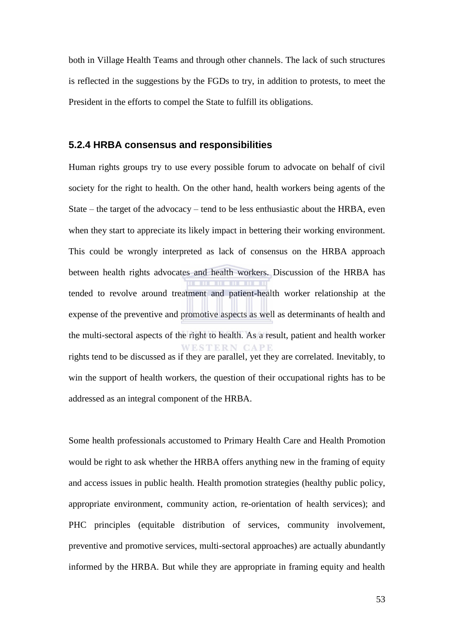both in Village Health Teams and through other channels. The lack of such structures is reflected in the suggestions by the FGDs to try, in addition to protests, to meet the President in the efforts to compel the State to fulfill its obligations.

### **5.2.4 HRBA consensus and responsibilities**

Human rights groups try to use every possible forum to advocate on behalf of civil society for the right to health. On the other hand, health workers being agents of the State – the target of the advocacy – tend to be less enthusiastic about the HRBA, even when they start to appreciate its likely impact in bettering their working environment. This could be wrongly interpreted as lack of consensus on the HRBA approach between health rights advocates and health workers. Discussion of the HRBA has tended to revolve around treatment and patient-health worker relationship at the expense of the preventive and promotive aspects as well as determinants of health and the multi-sectoral aspects of the right to health. As a result, patient and health worker WESTERN CAPE rights tend to be discussed as if they are parallel, yet they are correlated. Inevitably, to win the support of health workers, the question of their occupational rights has to be addressed as an integral component of the HRBA.

Some health professionals accustomed to Primary Health Care and Health Promotion would be right to ask whether the HRBA offers anything new in the framing of equity and access issues in public health. Health promotion strategies (healthy public policy, appropriate environment, community action, re-orientation of health services); and PHC principles (equitable distribution of services, community involvement, preventive and promotive services, multi-sectoral approaches) are actually abundantly informed by the HRBA. But while they are appropriate in framing equity and health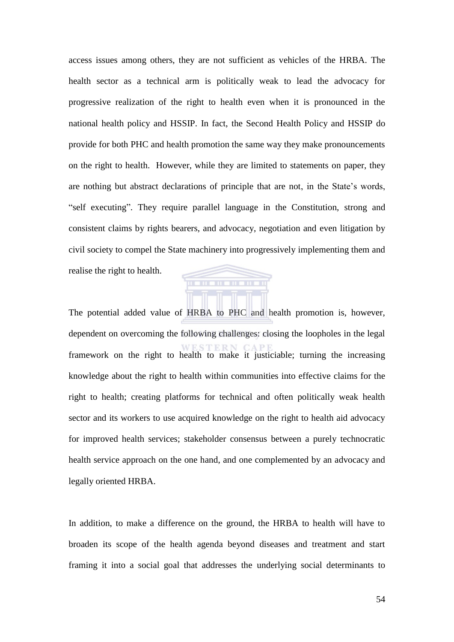access issues among others, they are not sufficient as vehicles of the HRBA. The health sector as a technical arm is politically weak to lead the advocacy for progressive realization of the right to health even when it is pronounced in the national health policy and HSSIP. In fact, the Second Health Policy and HSSIP do provide for both PHC and health promotion the same way they make pronouncements on the right to health. However, while they are limited to statements on paper, they are nothing but abstract declarations of principle that are not, in the State's words, "self executing". They require parallel language in the Constitution, strong and consistent claims by rights bearers, and advocacy, negotiation and even litigation by civil society to compel the State machinery into progressively implementing them and realise the right to health.

The potential added value of HRBA to PHC and health promotion is, however, dependent on overcoming the following challenges: closing the loopholes in the legal framework on the right to health to make it justiciable; turning the increasing knowledge about the right to health within communities into effective claims for the right to health; creating platforms for technical and often politically weak health sector and its workers to use acquired knowledge on the right to health aid advocacy for improved health services; stakeholder consensus between a purely technocratic health service approach on the one hand, and one complemented by an advocacy and legally oriented HRBA.

TO

**THE RIFLERY** 

In addition, to make a difference on the ground, the HRBA to health will have to broaden its scope of the health agenda beyond diseases and treatment and start framing it into a social goal that addresses the underlying social determinants to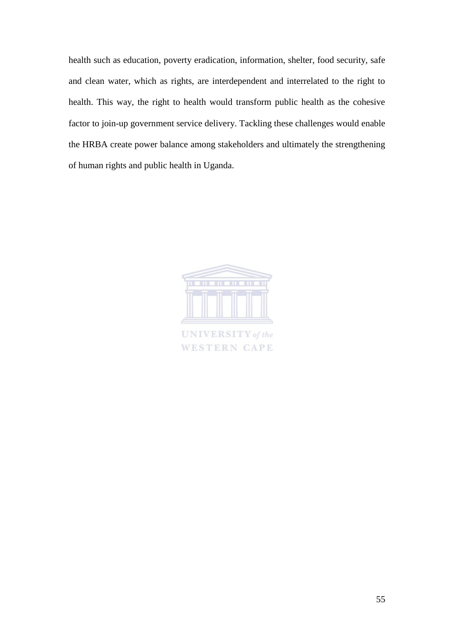health such as education, poverty eradication, information, shelter, food security, safe and clean water, which as rights, are interdependent and interrelated to the right to health. This way, the right to health would transform public health as the cohesive factor to join-up government service delivery. Tackling these challenges would enable the HRBA create power balance among stakeholders and ultimately the strengthening of human rights and public health in Uganda.



**UNIVERSITY** of the **WESTERN CAPE**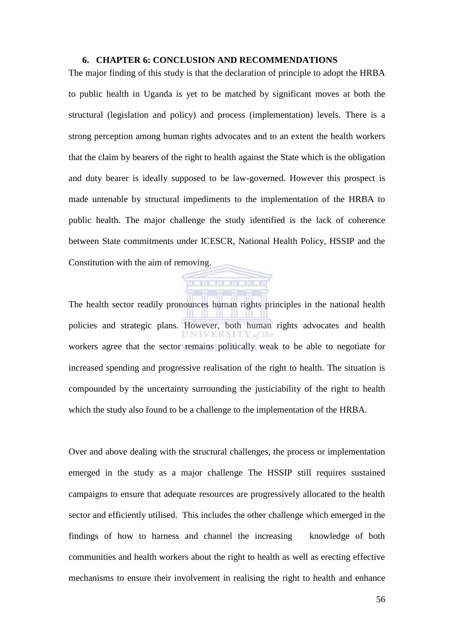### **6. CHAPTER 6: CONCLUSION AND RECOMMENDATIONS**

The major finding of this study is that the declaration of principle to adopt the HRBA to public health in Uganda is yet to be matched by significant moves at both the structural (legislation and policy) and process (implementation) levels. There is a strong perception among human rights advocates and to an extent the health workers that the claim by bearers of the right to health against the State which is the obligation and duty bearer is ideally supposed to be law-governed. However this prospect is made untenable by structural impediments to the implementation of the HRBA to public health. The major challenge the study identified is the lack of coherence between State commitments under ICESCR, National Health Policy, HSSIP and the Constitution with the aim of removing.

The health sector readily pronounces human rights principles in the national health policies and strategic plans. However, both human rights advocates and health workers agree that the sector remains politically weak to be able to negotiate for increased spending and progressive realisation of the right to health. The situation is compounded by the uncertainty surrounding the justiciability of the right to health which the study also found to be a challenge to the implementation of the HRBA.

Over and above dealing with the structural challenges, the process or implementation emerged in the study as a major challenge The HSSIP still requires sustained campaigns to ensure that adequate resources are progressively allocated to the health sector and efficiently utilised. This includes the other challenge which emerged in the findings of how to harness and channel the increasing knowledge of both communities and health workers about the right to health as well as erecting effective mechanisms to ensure their involvement in realising the right to health and enhance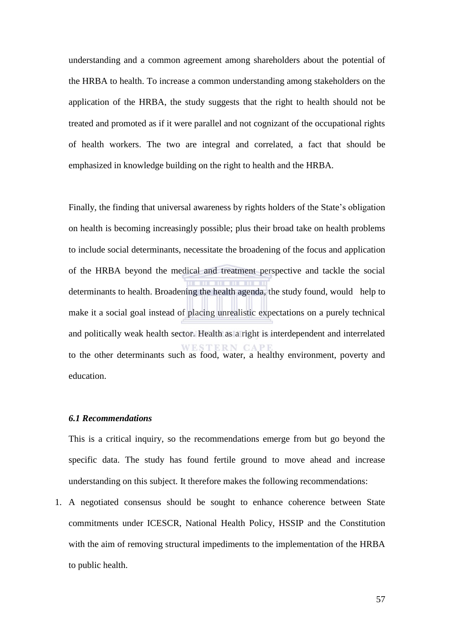understanding and a common agreement among shareholders about the potential of the HRBA to health. To increase a common understanding among stakeholders on the application of the HRBA, the study suggests that the right to health should not be treated and promoted as if it were parallel and not cognizant of the occupational rights of health workers. The two are integral and correlated, a fact that should be emphasized in knowledge building on the right to health and the HRBA.

Finally, the finding that universal awareness by rights holders of the State's obligation on health is becoming increasingly possible; plus their broad take on health problems to include social determinants, necessitate the broadening of the focus and application of the HRBA beyond the medical and treatment perspective and tackle the social determinants to health. Broadening the health agenda, the study found, would help to make it a social goal instead of placing unrealistic expectations on a purely technical and politically weak health sector. Health as a right is interdependent and interrelated to the other determinants such as food, water, a healthy environment, poverty and education.

### *6.1 Recommendations*

This is a critical inquiry, so the recommendations emerge from but go beyond the specific data. The study has found fertile ground to move ahead and increase understanding on this subject. It therefore makes the following recommendations:

1. A negotiated consensus should be sought to enhance coherence between State commitments under ICESCR, National Health Policy, HSSIP and the Constitution with the aim of removing structural impediments to the implementation of the HRBA to public health.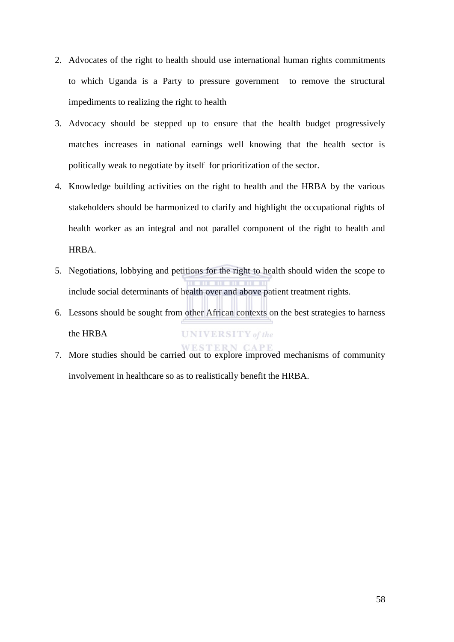- 2. Advocates of the right to health should use international human rights commitments to which Uganda is a Party to pressure government to remove the structural impediments to realizing the right to health
- 3. Advocacy should be stepped up to ensure that the health budget progressively matches increases in national earnings well knowing that the health sector is politically weak to negotiate by itself for prioritization of the sector.
- 4. Knowledge building activities on the right to health and the HRBA by the various stakeholders should be harmonized to clarify and highlight the occupational rights of health worker as an integral and not parallel component of the right to health and HRBA.
- 5. Negotiations, lobbying and petitions for the right to health should widen the scope to include social determinants of health over and above patient treatment rights.
- 6. Lessons should be sought from other African contexts on the best strategies to harness the HRBA **UNIVERSITY** of the
- 7. More studies should be carried out to explore improved mechanisms of community involvement in healthcare so as to realistically benefit the HRBA.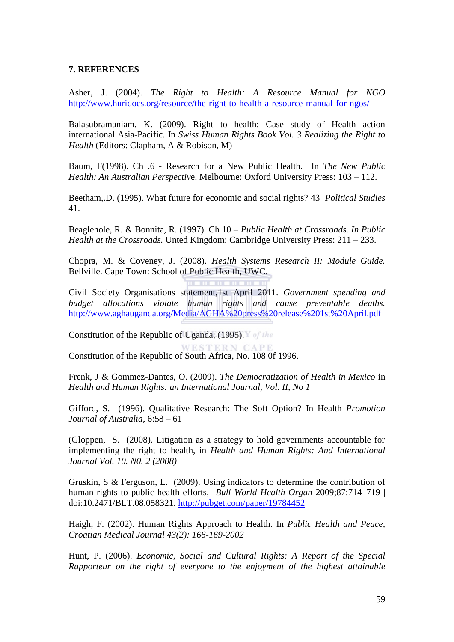# **7. REFERENCES**

Asher, J. (2004). *The Right to Health: A Resource Manual for NGO* <http://www.huridocs.org/resource/the-right-to-health-a-resource-manual-for-ngos/>

Balasubramaniam, K. (2009). Right to health: Case study of Health action international Asia-Pacific*.* In *Swiss Human Rights Book Vol. 3 Realizing the Right to Health* (Editors: Clapham, A & Robison, M)

Baum, F(1998). Ch .6 - Research for a New Public Health. In *The New Public Health: An Australian Perspectiv*e. Melbourne: Oxford University Press: 103 – 112.

Beetham,.D. (1995). What future for economic and social rights? 43 *Political Studies* 41.

Beaglehole, R. & Bonnita, R. (1997). Ch 10 – *Public Health at Crossroads. In Public Health at the Crossroads.* Unted Kingdom: Cambridge University Press: 211 – 233.

Chopra, M. & Coveney, J. (2008). *Health Systems Research II: Module Guide.* Bellville. Cape Town: School of Public Health, UWC.

. . . . . . . . . . . .

Civil Society Organisations statement,1st April 2011. *Government spending and budget allocations violate human rights and cause preventable deaths.* <http://www.aghauganda.org/Media/AGHA%20press%20release%201st%20April.pdf>

Constitution of the Republic of Uganda, (1995). You the

Constitution of the Republic of South Africa, No. 108 0f 1996.

Frenk, J & Gommez-Dantes, O. (2009). *The Democratization of Health in Mexico* in *Health and Human Rights: an International Journal, Vol. II, No 1* 

Gifford, S. (1996). Qualitative Research: The Soft Option? In Health *Promotion Journal of Australia*, 6:58 – 61

(Gloppen, S. (2008). Litigation as a strategy to hold governments accountable for implementing the right to health, in *Health and Human Rights: And International Journal Vol. 10. N0. 2 (2008)* 

Gruskin, S & Ferguson, L. (2009). Using indicators to determine the contribution of human rights to public health efforts, *Bull World Health Organ* 2009;87:714–719 | doi:10.2471/BLT.08.058321.<http://pubget.com/paper/19784452>

Haigh, F. (2002). Human Rights Approach to Health. In *Public Health and Peace, Croatian Medical Journal 43(2): 166-169-2002* 

Hunt, P. (2006). *Economic, Social and Cultural Rights: A Report of the Special Rapporteur on the right of everyone to the enjoyment of the highest attainable*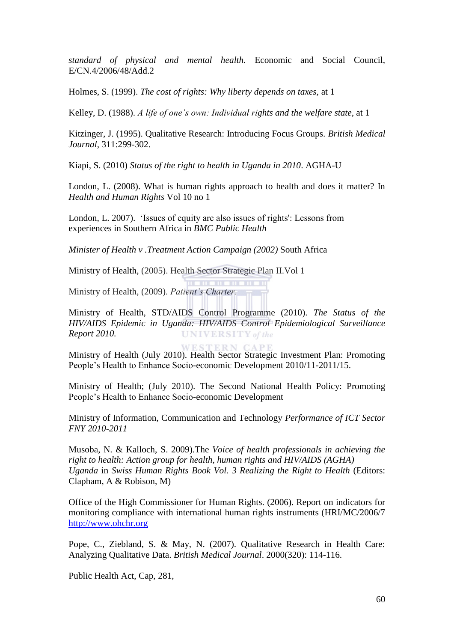*standard of physical and mental health.* Economic and Social Council, E/CN.4/2006/48/Add.2

Holmes, S. (1999). *The cost of rights: Why liberty depends on taxes,* at 1

Kelley, D. (1988). *A life of one"s own: Individual rights and the welfare state*, at 1

Kitzinger, J. (1995). Qualitative Research: Introducing Focus Groups. *British Medical Journal*, 311:299-302.

Kiapi, S. (2010) *Status of the right to health in Uganda in 2010*. AGHA-U

London, L. (2008). What is human rights approach to health and does it matter? In *Health and Human Rights* Vol 10 no 1

London, L. 2007). 'Issues of equity are also issues of rights': Lessons from experiences in Southern Africa in *BMC Public Health*

*Minister of Health v .Treatment Action Campaign (2002)* South Africa

Ministry of Health, (2005). Health Sector Strategic Plan II.Vol 1

Ministry of Health, (2009). *Patient"s Charter.*

Ministry of Health, STD/AIDS Control Programme (2010). *The Status of the HIV/AIDS Epidemic in Uganda: HIV/AIDS Control Epidemiological Surveillance Report 2010.* **UNIVERSITY** of the

WESTERN CAPE

Ministry of Health (July 2010). Health Sector Strategic Investment Plan: Promoting People's Health to Enhance Socio-economic Development 2010/11-2011/15.

Ministry of Health; (July 2010). The Second National Health Policy: Promoting People's Health to Enhance Socio-economic Development

Ministry of Information, Communication and Technology *Performance of ICT Sector FNY 2010-2011* 

Musoba, N. & Kalloch, S. 2009).The *Voice of health professionals in achieving the right to health: Action group for health, human rights and HIV/AIDS (AGHA) Uganda* in *Swiss Human Rights Book Vol. 3 Realizing the Right to Health* (Editors: Clapham, A & Robison, M)

Office of the High Commissioner for Human Rights. (2006). Report on indicators for monitoring compliance with international human rights instruments (HRI/MC/2006/7 [http://www.ohchr.org](http://www.ohchr.org/)

Pope, C., Ziebland, S. & May, N. (2007). Qualitative Research in Health Care: Analyzing Qualitative Data. *British Medical Journal*. 2000(320): 114-116.

Public Health Act, Cap, 281,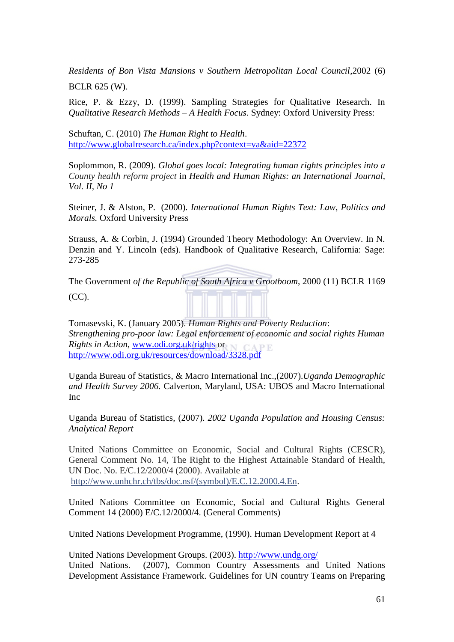*Residents of Bon Vista Mansions v Southern Metropolitan Local Council*,2002 (6) BCLR 625 (W).

Rice, P. & Ezzy, D. (1999). Sampling Strategies for Qualitative Research. In *Qualitative Research Methods – A Health Focus*. Sydney: Oxford University Press:

Schuftan, C. (2010) *The Human Right to Health*. <http://www.globalresearch.ca/index.php?context=va&aid=22372>

Soplommon, R. (2009). *Global goes local: Integrating human rights principles into a County health reform project* in *Health and Human Rights: an International Journal, Vol. II, No 1* 

Steiner, J. & Alston, P. (2000). *International Human Rights Text: Law, Politics and Morals.* Oxford University Press

Strauss, A. & Corbin, J. (1994) Grounded Theory Methodology: An Overview. In N. Denzin and Y. Lincoln (eds). Handbook of Qualitative Research, California: Sage: 273-285

The Government *of the Republic of South Africa v Grootboom*, 2000 (11) BCLR 1169

 $(CC)$ .

Tomasevski, K. (January 2005). *Human Rights and Poverty Reduction*: *Strengthening pro-poor law: Legal enforcement of economic and social rights Human Rights in Action,* [www.odi.org.uk/rights](http://www.odi.org.uk/rights) or CAPE <http://www.odi.org.uk/resources/download/3328.pdf>

Uganda Bureau of Statistics, & Macro International Inc.,(2007).*Uganda Demographic and Health Survey 2006.* Calverton, Maryland, USA: UBOS and Macro International Inc

Uganda Bureau of Statistics, (2007). *2002 Uganda Population and Housing Census: Analytical Report* 

United Nations Committee on Economic, Social and Cultural Rights (CESCR), General Comment No. 14, The Right to the Highest Attainable Standard of Health, UN Doc. No. E/C.12/2000/4 (2000). Available at [http://www.unhchr.ch/tbs/doc.nsf/\(symbol\)/E.C.12.2000.4.En.](http://www.unhchr.ch/tbs/doc.nsf/(symbol)/E.C.12.2000.4.En)

United Nations Committee on Economic, Social and Cultural Rights General Comment 14 (2000) E/C.12/2000/4. (General Comments)

United Nations Development Programme, (1990). Human Development Report at 4

United Nations Development Groups. (2003).<http://www.undg.org/> United Nations. (2007), Common Country Assessments and United Nations Development Assistance Framework. Guidelines for UN country Teams on Preparing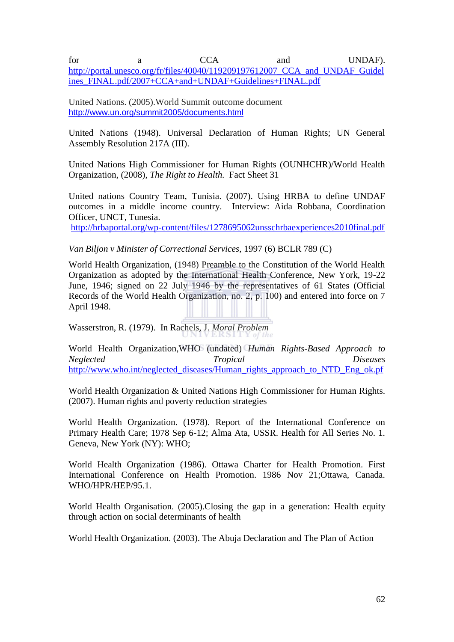for a CCA and UNDAF). http://portal.unesco.org/fr/files/40040/119209197612007 CCA and UNDAF Guidel [ines\\_FINAL.pdf/2007+CCA+and+UNDAF+Guidelines+FINAL.pdf](http://portal.unesco.org/fr/files/40040/119209197612007_CCA_and_UNDAF_Guidelines_FINAL.pdf/2007+CCA+and+UNDAF+Guidelines+FINAL.pdf)

United Nations. (2005).World Summit outcome document <http://www.un.org/summit2005/documents.html>

United Nations (1948). Universal Declaration of Human Rights; UN General Assembly Resolution 217A (III).

United Nations High Commissioner for Human Rights (OUNHCHR)/World Health Organization, (2008), *The Right to Health.* Fact Sheet 31

United nations Country Team, Tunisia. (2007). Using HRBA to define UNDAF outcomes in a middle income country. Interview: Aida Robbana, Coordination Officer, UNCT, Tunesia.

<http://hrbaportal.org/wp-content/files/1278695062unsschrbaexperiences2010final.pdf>

### *Van Biljon v Minister of Correctional Services,* 1997 (6) BCLR 789 (C)

World Health Organization, (1948) Preamble to the Constitution of the World Health Organization as adopted by the International Health Conference, New York, 19-22 June, 1946; signed on 22 July 1946 by the representatives of 61 States (Official Records of the World Health Organization, no. 2, p. 100) and entered into force on 7 April 1948.

Wasserstron, R. (1979). In Rachels, J. *Moral Problem*

World Health Organization,WHO (undated) *Human Rights-Based Approach to Neglected Tropical Diseases* [http://www.who.int/neglected\\_diseases/Human\\_rights\\_approach\\_to\\_NTD\\_Eng\\_ok.pf](http://www.who.int/neglected_diseases/Human_rights_approach_to_NTD_Eng_ok.pf)

World Health Organization & United Nations High Commissioner for Human Rights. (2007). Human rights and poverty reduction strategies

World Health Organization. (1978). Report of the International Conference on Primary Health Care; 1978 Sep 6-12; Alma Ata, USSR. Health for All Series No. 1. Geneva, New York (NY): WHO;

World Health Organization (1986). Ottawa Charter for Health Promotion. First International Conference on Health Promotion. 1986 Nov 21;Ottawa, Canada. WHO/HPR/HEP/95.1.

World Health Organisation. (2005).Closing the gap in a generation: Health equity through action on social determinants of health

World Health Organization. (2003). The Abuja Declaration and The Plan of Action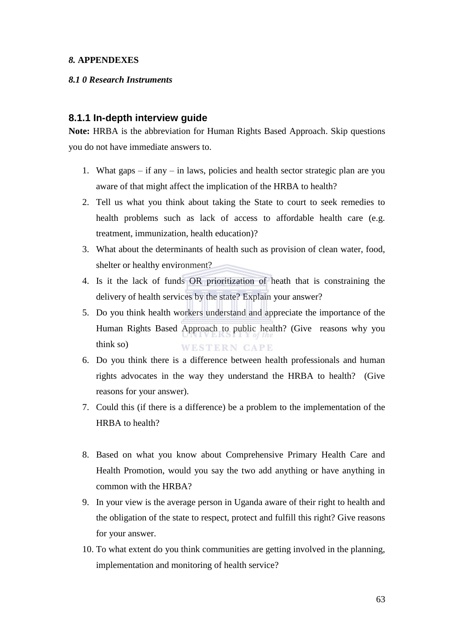#### *8.* **APPENDEXES**

#### *8.1 0 Research Instruments*

### **8.1.1 In-depth interview guide**

**Note:** HRBA is the abbreviation for Human Rights Based Approach. Skip questions you do not have immediate answers to.

- 1. What gaps if any in laws, policies and health sector strategic plan are you aware of that might affect the implication of the HRBA to health?
- 2. Tell us what you think about taking the State to court to seek remedies to health problems such as lack of access to affordable health care (e.g. treatment, immunization, health education)?
- 3. What about the determinants of health such as provision of clean water, food, shelter or healthy environment?
- 4. Is it the lack of funds OR prioritization of heath that is constraining the delivery of health services by the state? Explain your answer?
- 5. Do you think health workers understand and appreciate the importance of the Human Rights Based Approach to public health? (Give reasons why you think so) **WESTERN CAPE**
- 6. Do you think there is a difference between health professionals and human rights advocates in the way they understand the HRBA to health? (Give reasons for your answer).
- 7. Could this (if there is a difference) be a problem to the implementation of the HRBA to health?
- 8. Based on what you know about Comprehensive Primary Health Care and Health Promotion, would you say the two add anything or have anything in common with the HRBA?
- 9. In your view is the average person in Uganda aware of their right to health and the obligation of the state to respect, protect and fulfill this right? Give reasons for your answer.
- 10. To what extent do you think communities are getting involved in the planning, implementation and monitoring of health service?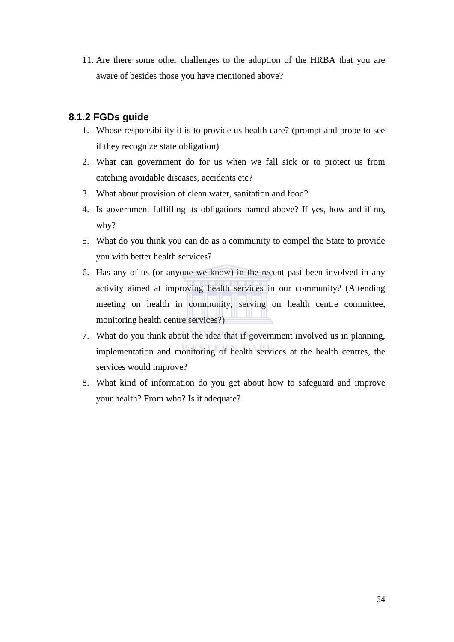11. Are there some other challenges to the adoption of the HRBA that you are aware of besides those you have mentioned above?

### **8.1.2 FGDs guide**

- 1. Whose responsibility it is to provide us health care? (prompt and probe to see if they recognize state obligation)
- 2. What can government do for us when we fall sick or to protect us from catching avoidable diseases, accidents etc?
- 3. What about provision of clean water, sanitation and food?
- 4. Is government fulfilling its obligations named above? If yes, how and if no, why?
- 5. What do you think you can do as a community to compel the State to provide you with better health services?
- 6. Has any of us (or anyone we know) in the recent past been involved in any activity aimed at improving health services in our community? (Attending meeting on health in community, serving on health centre committee, monitoring health centre services?)
- 7. What do you think about the idea that if government involved us in planning, implementation and monitoring of health services at the health centres, the services would improve?
- 8. What kind of information do you get about how to safeguard and improve your health? From who? Is it adequate?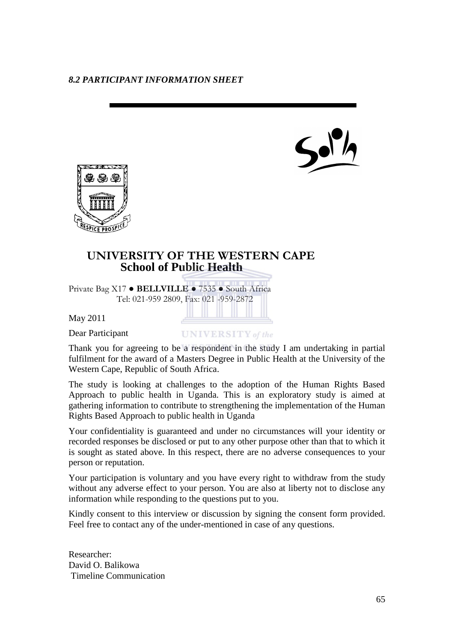



# **UNIVERSITY OF THE WESTERN CAPE School of Public Health**

Private Bag X17 ● **BELLVILLE** ● 7535 ● South Africa Tel: 021-959 2809, Fax: 021 -959-2872

May 2011

Dear Participant

**UNIVERSITY** of the

Thank you for agreeing to be a respondent in the study I am undertaking in partial fulfilment for the award of a Masters Degree in Public Health at the University of the Western Cape, Republic of South Africa.

The study is looking at challenges to the adoption of the Human Rights Based Approach to public health in Uganda. This is an exploratory study is aimed at gathering information to contribute to strengthening the implementation of the Human Rights Based Approach to public health in Uganda

Your confidentiality is guaranteed and under no circumstances will your identity or recorded responses be disclosed or put to any other purpose other than that to which it is sought as stated above. In this respect, there are no adverse consequences to your person or reputation.

Your participation is voluntary and you have every right to withdraw from the study without any adverse effect to your person. You are also at liberty not to disclose any information while responding to the questions put to you.

Kindly consent to this interview or discussion by signing the consent form provided. Feel free to contact any of the under-mentioned in case of any questions.

Researcher: David O. Balikowa Timeline Communication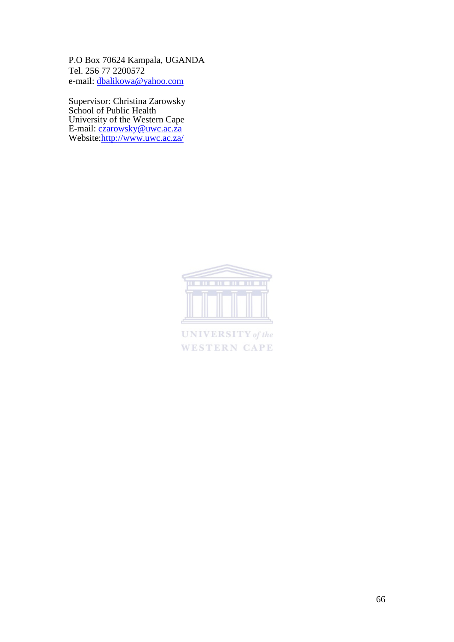P.O Box 70624 Kampala, UGANDA Tel. 256 77 2200572 e-mail: [dbalikowa@yahoo.com](mailto:dbalikowa@yahoo.com)

Supervisor: Christina Zarowsky School of Public Health University of the Western Cape E-mail: [czarowsky@uwc.ac.za](mailto:czarowsky@uwc.ac.za) Website[:http://www.uwc.ac.za/](http://www.uwc.ac.za/)



**UNIVERSITY** of the **WESTERN CAPE**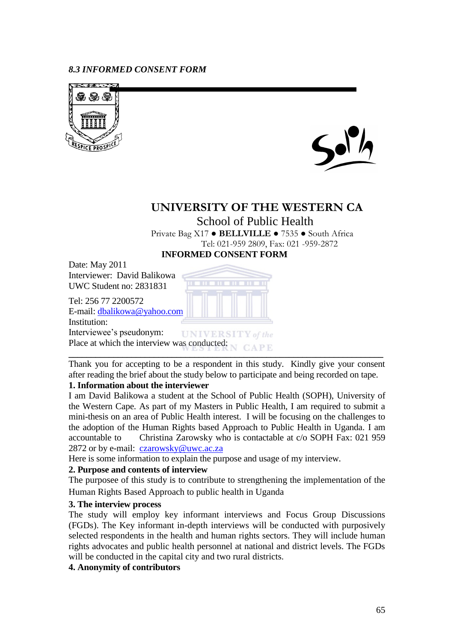### *8.3 INFORMED CONSENT FORM*





# **UNIVERSITY OF THE WESTERN CA**

School of Public Health Private Bag X17 ● **BELLVILLE** ● 7535 ● South Africa Tel: 021-959 2809, Fax: 021 -959-2872  **INFORMED CONSENT FORM** 

Date: May 2011 Interviewer: David Balikowa UWC Student no: 2831831

Tel: 256 77 2200572 E-mail: [dbalikowa@yahoo.com](mailto:dbalikowa@yahoo.com)

Institution:

Interviewee's pseudonym: **UNIVERSIT** Y of the Place at which the interview was conducted:

Thank you for accepting to be a respondent in this study. Kindly give your consent after reading the brief about the study below to participate and being recorded on tape.

**\_\_\_\_\_\_\_\_\_\_\_\_\_\_\_\_\_\_\_\_\_\_\_\_\_\_\_\_\_\_\_\_\_\_\_\_\_\_\_\_\_\_\_\_\_\_\_\_\_\_\_\_\_\_\_\_\_\_\_\_\_\_\_\_\_\_\_\_\_\_**

## **1. Information about the interviewer**

I am David Balikowa a student at the School of Public Health (SOPH), University of the Western Cape. As part of my Masters in Public Health, I am required to submit a mini-thesis on an area of Public Health interest. I will be focusing on the challenges to the adoption of the Human Rights based Approach to Public Health in Uganda. I am accountable to Christina Zarowsky who is contactable at c/o SOPH Fax: 021 959 2872 or by e-mail: [czarowsky@uwc.ac.za](mailto:czarowsky@uwc.ac.za)

Here is some information to explain the purpose and usage of my interview.

### **2. Purpose and contents of interview**

The purposee of this study is to contribute to strengthening the implementation of the Human Rights Based Approach to public health in Uganda

### **3. The interview process**

The study will employ key informant interviews and Focus Group Discussions (FGDs). The Key informant in-depth interviews will be conducted with purposively selected respondents in the health and human rights sectors. They will include human rights advocates and public health personnel at national and district levels. The FGDs will be conducted in the capital city and two rural districts.

### **4. Anonymity of contributors**